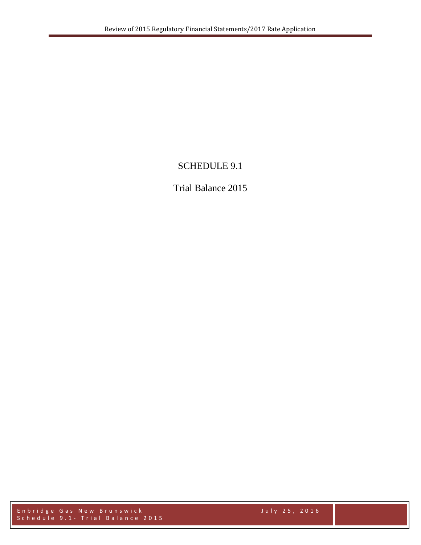## SCHEDULE 9.1

## Trial Balance 2015

Enbridge Gas New Brunswick July 25, 2016 Schedule 9.1 - Trial Balance 2015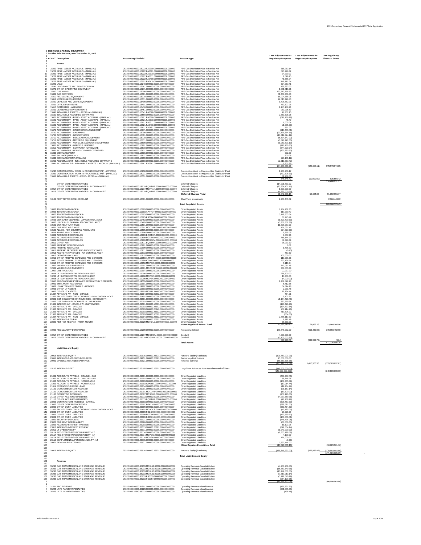|                                        | <b>1 ENBRIDGE GAS NEW BRUNSWICK</b><br>2 Detailed Trial Balance, as of December 31, 2015                                                                                                                                                                                                                               |                                                                                                                                                                                                                                                                                                                                                                                                                              |                                                                                                                                                                                                                                                                                                                                                              | <b>Less Adjustments for</b>                                                                              | <b>Less Adjustments for</b> | <b>Per Regulatory</b>                  |
|----------------------------------------|------------------------------------------------------------------------------------------------------------------------------------------------------------------------------------------------------------------------------------------------------------------------------------------------------------------------|------------------------------------------------------------------------------------------------------------------------------------------------------------------------------------------------------------------------------------------------------------------------------------------------------------------------------------------------------------------------------------------------------------------------------|--------------------------------------------------------------------------------------------------------------------------------------------------------------------------------------------------------------------------------------------------------------------------------------------------------------------------------------------------------------|----------------------------------------------------------------------------------------------------------|-----------------------------|----------------------------------------|
|                                        | 4 ACCNT Description<br>Assets                                                                                                                                                                                                                                                                                          | <b>Accounting Flexfield</b>                                                                                                                                                                                                                                                                                                                                                                                                  | <b>Account type</b>                                                                                                                                                                                                                                                                                                                                          | <b>Regulatory Purposes</b>                                                                               | <b>Regulatory Purposes</b>  | <b>Financial Stmts</b>                 |
| 10<br>15                               | 15222 PP&E - ASSET ACCRUALS - (MANUAL)<br>15222 PP&E - ASSET ACCRUALS - (MANUAL)<br>15222 PP&E - ASSET ACCRUALS - (MANUAL)<br>15222 PP&E - ASSET ACCRUALS - (MANUAL)<br>12 15222 PP&E - ASSET ACCRUALS - (MANUAL)<br>15222 PP&E - ASSET ACCRUALS - (MANUAL)<br>15240 LAND<br>14<br>15241 LAND RIGHTS AND RIGHTS-OF-WAY | 25322.000.00000.15222.FA0300.00000.000000.000000<br>25322.000.00000.15222.FA0301.00000.000000.000000<br>25322.000.00000.15222.FA0310.00000.000000.000000<br>25322.000.00000.15222.FA0311.00000.000000.000000<br>25322.000.00000.15222.FA0400.00000.000000.000000<br>25322.000.00000.15222.FA0410.00000.000000.000000<br>25322.000.00000.15240.000000.00000.000000.000000<br>25322.000.00000.15241.000000.00000.000000.000000 | PPE-Gas Distributor Plant in Service-Net<br>PPE-Gas Distributor Plant in Service-Net<br>PPE-Gas Distributor Plant in Service-Net<br>PPE-Gas Distributor Plant in Service-Net<br>PPE-Gas Distributor Plant in Service-Net<br>PPE-Gas Distributor Plant in Service-Net<br>PPE-Gas Distributor Plant in Service-Net<br>PPE-Gas Distributor Plant in Service-Net | 318,263.14<br>593,998.32<br>74,270.07<br>1,529.95<br>41,356.94<br>141,111.64<br>374,967.41<br>189,283.03 |                             |                                        |
| 18.<br>19 -                            | 15271 OTHER OPERATING EQUIPMENT<br>15300 GAS MAINS<br>15301 GAS SERVICES<br>15310 REGULATING EQUIPMENT<br>15311 METERING EQUIPMENT<br>15400 VEHICLES AND WORK EQUIPMENT                                                                                                                                                | 25322.000.00000.15271.000000.00000.000000.000000<br>25322.000.00000.15300.000000.00000.000000.000000<br>25322.000.00000.15301.000000.00000.000000.000000<br>25322.000.00000.15310.000000.00000.000000.000000<br>25322.000.00000.15311.000000.00000.000000.000000<br>25322.000.00000.15400.000000.00000.000000.000000                                                                                                         | PPE-Gas Distributor Plant in Service-Net<br>PPE-Gas Distributor Plant in Service-Net<br>PPE-Gas Distributor Plant in Service-Net<br>PPE-Gas Distributor Plant in Service-Net<br>PPE-Gas Distributor Plant in Service-Net<br>PPE-Gas Distributor Plant in Service-Net                                                                                         | 1,851,713.91<br>123,613,768.59<br>61,458,366.83<br>16,024,658.05<br>22,513,429.43<br>1,498,862.91        |                             |                                        |
| 22<br>23.<br>25<br>26                  | <b>15401 OFFICE FURNITURE</b><br>15410 COMPUTER HARDWARE<br>15451 LEASEHOLD IMPROVEMENTS<br>15541 INTANGIBLE ASSETS - ACCRUAL (MANUAL)<br>15560 INTANGIBLE ACQUIRED SOFTWARE<br>15621 ACCUM DEPR - PP&E - ASSET ACCRUAL - (MANUAL)<br>15621 ACCUM DEPR - PP&E - ASSET ACCRUAL - (MANUAL)                               | 25322.000.00000.15401.000000.00000.000000.000000<br>25322.000.00000.15410.000000.00000.000000.000000<br>25322.000.00000.15451.000000.00000.000000.000000<br>25322.000.00000.15541.FA0560.00000.000000.000000<br>25322.000.00000.15560.000000.00000.000000.000000<br>25322.000.00000.15621.FA0300.00000.000000.000000<br>25322.000.00000.15621.FA0310.00000.000000.000000                                                     | PPE-Gas Distributor Plant in Service-Net<br>PPE-Gas Distributor Plant in Service-Net<br>PPE-Gas Distributor Plant in Service-Net<br>PPE-Gas Distributor Plant in Service-Net<br>PPE-Gas Distributor Plant in Service-Net<br>PPE-Gas Distributor Plant in Service-Net<br>PPE-Gas Distributor Plant in Service-Net                                             | 463,807.96<br>1,145,188.71<br>963,075.89<br>28,361.15<br>2,853,508.28<br>(618, 186.77)<br>45.40          |                             |                                        |
| 28<br>29<br>30<br>31<br>32<br>33<br>34 | 15621 ACCUM DEPR - PP&E - ASSET ACCRUAL - (MANUAL)<br>15621 ACCUM DEPR - PP&E - ASSET ACCRUAL - (MANUAL)<br>15621 ACCUM DEPR - PP&E - ASSET ACCRUAL - (MANUAL)<br>15671 ACCUM DEPR - OTHER OPERATING EQUIP<br>15700 ACCUM DEPR - GAS MAINS<br>15701 ACCUM DEPR - GAS SERVICES                                          | 25322.000.00000.15621.FA0311.00000.000000.000000<br>25322.000.00000.15621.FA0410.00000.000000.000000<br>25322.000.00000.15621.FA0451.00000.000000.000000<br>25322.000.00000.15671.000000.00000.000000.000000<br>25322.000.00000.15700.000000.00000.000000.000000<br>25322.000.00000.15701.000000.00000.000000.000000                                                                                                         | PPE-Gas Distributor Plant in Service-Net<br>PPE-Gas Distributor Plant in Service-Net<br>PPE-Gas Distributor Plant in Service-Net<br>PPE-Gas Distributor Plant in Service-Net<br>PPE-Gas Distributor Plant in Service-Net<br>PPE-Gas Distributor Plant in Service-Net                                                                                         | 6,005.04<br>(1,085.00)<br>351.07<br>(916, 463.41)<br>(27, 171, 364.56)<br>(16, 312, 324.12)              |                             |                                        |
| 35<br>36<br>40                         | 15710 ACCUM DEPR - REGULATING EQUIPMENT<br>15711 ACCUM DEPR - METERING EQUIPMENT<br>15800 ACCUM DEPR - VEHICLES AND WORK EQUIPMENT<br>15801 ACCUM DEPR - OFFICE FURNITURE<br>15810 ACCUM DEPR - COMPUTER HARDWARE<br>15831 ACCUM DEPR - LEASEHOLD IMPROVEMENTS                                                         | 25322.000.00000.15710.000000.00000.000000.000000<br>25322.000.00000.15711.000000.00000.000000.000000<br>25322.000.00000.15800.000000.00000.000000.000000<br>25322.000.00000.15801.000000.00000.000000.000000<br>25322.000.00000.15810.000000.00000.000000.000000<br>25322.000.00000.15831.000000.00000.000000.000000                                                                                                         | PPE-Gas Distributor Plant in Service-Net<br>PPE-Gas Distributor Plant in Service-Net<br>PPE-Gas Distributor Plant in Service-Net<br>PPE-Gas Distributor Plant in Service-Net<br>PPE-Gas Distributor Plant in Service-Net<br>PPE-Gas Distributor Plant in Service-Net                                                                                         | (5,874,547.27)<br>(3,878,721.03)<br>(1,053,891.19)<br>(226, 480.30)<br>(844, 220.24)<br>(730, 295.85)    |                             |                                        |
| 43<br>45<br>46<br>47                   | 15836 DISMANTLEMENT<br>15837 SALVAGE (MANUAL)<br>15839 DISMANTLEMENT (MANUAL)<br>15960 ACCUM AMORT - INTANGIBLE ACQUIRED SOFTWARE<br>15941 ACCUM AMORT - INTANGIBLE ASSETS - ACCRUAL (MANUAL)                                                                                                                          | 25322.000.00000.15836.000000.00000.000000.000000<br>25322.000.00000.15837.000000.00000.000000.000000<br>25322.000.00000.15839.000000.00000.000000.000000<br>25322.000.00000.15960.000000.00000.000000.000000<br>25322.000.00000.15941.FA0561.00000.000000.000000                                                                                                                                                             | PPE-Gas Distributor Plant in Service-Net<br>PPE-Gas Distributor Plant in Service-Net<br>PPE-Gas Distributor Plant in Service-Net<br>PPE-Gas Distributor Plant in Service-Net<br>PPE-Gas Distributor Plant in Service-Net                                                                                                                                     | 202.50<br>300.08<br>(20, 151.12)<br>(2,313,867.47)<br>5,202.99<br>174,200,030.96                         | (626, 656.11)               | 173,573,374.85                         |
| 50<br>51<br>52                         | 15230 CONSTRUCTION WORK IN PROGRESS (CWIP) - (SYSTEM)<br>15231 CONSTRUCTION WORK IN PROGRESS (CWIP) - (MANUAL)<br>15551 INTANGIBLE ASSETS - CWIP - ACCRUAL (MANUAL)                                                                                                                                                    | 25322.000.00000.15230.000000.00000.000000.000000<br>25322.000.00000.15231.000000.00000.000000.000000<br>25322.000.00000.15551.000000.00000.000000.000000                                                                                                                                                                                                                                                                     | Construction Work in Progress-Gas Distributor Plant<br>Construction Work in Progress-Gas Distributor Plant<br>Construction Work in Progress-Gas Distributor Plant                                                                                                                                                                                            | 1,236,956.17<br>(472, 398.31)<br>81,988.56<br>846,546.42                                                 | (10,990.00)                 | 835,556.42<br>174,408,931.27           |
| 53<br>54<br>56<br>57<br>58             | OTHER DEFERRED CHARGES<br>OTHER DEFERRED CHARGES - ACCUM AMORT<br>19217 OTHER DEFERRED CHARGES<br>19219 OTHER DEFERRED CHARGES - ACCUM AMORT                                                                                                                                                                           | 25322.000.00000.19219.EQOTHR.00000.000000.000000<br>25322.000.00000.19217.MCFRAN.00000.000000.000000<br>25322.000.00000.19219.EQOTHR.00000.000000.000000                                                                                                                                                                                                                                                                     | <b>Deferred Charges</b><br><b>Deferred Charges</b><br><b>Deferred Charges</b><br><b>Deferred Charges</b><br><b>Deferred Charges Total</b>                                                                                                                                                                                                                    | 114,901,733.22<br>(23, 334, 401.41)<br>1,500,000.00<br>(1,225,000.66)<br>91,842,331.15                   | 50,624.02                   | 91,892,955.17                          |
| 59<br>60<br>61                         | 10101 RESTRICTED CASH ACCOUNT                                                                                                                                                                                                                                                                                          |                                                                                                                                                                                                                                                                                                                                                                                                                              | <b>Short Term Investments</b><br><b>Total Regulated Assets</b>                                                                                                                                                                                                                                                                                               | 2,966,443.02                                                                                             |                             | 2,966,443.02<br>269,268,329.45         |
| 62<br>63<br>65                         | 10003 TD OPERATING CASH<br>10003 TD OPERATING CASH<br>10025 TD OPERATING (US) CASH                                                                                                                                                                                                                                     | 25322.000.00000.10003.000000.00000.000000.000000<br>25322.000.00000.10003.APPYMT.00000.000000.000000<br>25322.000.00000.10025.000000.00000.000000.000000                                                                                                                                                                                                                                                                     | <b>Other Regulated Assets</b><br><b>Other Regulated Assets</b><br><b>Other Regulated Assets</b>                                                                                                                                                                                                                                                              | 6,984,932.33<br>117,230.47<br>5,449,853.64                                                               |                             |                                        |
| 66                                     | 10025 TD OPERATING (US) CASH<br>10463 CDN CASH CLEARING - A/P CONTROL ACCT<br>10465 US CASH CLEARING - A/P CONTROL ACCT                                                                                                                                                                                                | 25322.000.00000.10025.PS0304.00000.000000.000000<br>25322.000.00000.10463.000000.00000.000000.000000<br>25322.000.00000.10465.000000.00000.000000.000000                                                                                                                                                                                                                                                                     | <b>Other Regulated Assets</b><br><b>Other Regulated Assets</b><br><b>Other Regulated Assets</b>                                                                                                                                                                                                                                                              | 30,745.49<br>(1,829,490.33)<br>(5,366,862.38)                                                            |                             |                                        |
| 70                                     | 10501 CURRENT A/R TRADE<br>10501 CURRENT A/R TRADE<br>10505 ALLOW. FOR DOUBTFUL ACCOUNTS                                                                                                                                                                                                                               | 25322.000.00000.10501.000000.00000.000000.000000<br>25322.000.00000.10501.MCCORP.00000.000000.000000<br>25322.000.00000.10505.000000.00000.000000.000000                                                                                                                                                                                                                                                                     | <b>Other Regulated Assets</b><br><b>Other Regulated Assets</b><br><b>Other Regulated Assets</b>                                                                                                                                                                                                                                                              | 11,806,087.23<br>161,061.42<br>(74, 877.30)                                                              |                             |                                        |
| 72                                     | 10508 TRADE AR ACCRUALS<br>10809 ACCRUED RECEIVABLES<br>10809 ACCRUED RECEIVABLES                                                                                                                                                                                                                                      | 25322.000.00000.10508.000000.00000.000000.000000<br>25322.000.00000.10809.EQOTHR.00000.000000.000000<br>25322.000.00000.10809.FG7150.00000.000000.000000                                                                                                                                                                                                                                                                     | <b>Other Regulated Assets</b><br><b>Other Regulated Assets</b><br><b>Other Regulated Assets</b>                                                                                                                                                                                                                                                              | 5,865.05<br>8,557.76<br>716,144.99                                                                       |                             |                                        |
| 75<br>76.                              | 10809 ACCRUED RECEIVABLES<br>10811 OTHER A/R<br>10901 PREPAID WCB PREMIUMS                                                                                                                                                                                                                                             | 25322.000.00000.10809.MCRECV.00000.000000.000000<br>25322.000.00000.10811.EQOTHR.00000.000000.000000<br>25322.000.00000.10901.000000.00000.000000.000000                                                                                                                                                                                                                                                                     | <b>Other Regulated Assets</b><br><b>Other Regulated Assets</b><br><b>Other Regulated Assets</b>                                                                                                                                                                                                                                                              | 49,398.39<br>36,031.39<br>0.01                                                                           |                             |                                        |
| 78                                     | 10909 PREPAID INSURANCE<br>10911 PREPAID PROPERTY AND BUSINESS TAXES<br>10913 ACCTS PAY PREPAIDS - A/P CONTROL ACCT                                                                                                                                                                                                    | 25322.000.00000.10909.000000.00000.000000.000000<br>25322.000.00000.10911.000000.00000.000000.000000<br>25322.000.00000.10913.000000.00000.000000.000000                                                                                                                                                                                                                                                                     | <b>Other Regulated Assets</b><br><b>Other Regulated Assets</b><br><b>Other Regulated Assets</b>                                                                                                                                                                                                                                                              | 1,436.70<br>(0.43)<br>457.50                                                                             |                             |                                        |
| 81<br>83                               | 10915 DEPOSITS ON HAND<br>10950 OTHER PREPAID EXPENSES AND DEPOSITS<br>10950 OTHER PREPAID EXPENSES AND DEPOSITS                                                                                                                                                                                                       | 25322.000.00000.10915.000000.00000.000000.000000<br>25322.000.00000.10950.ARPOTH.00000.000000.000000<br>25322.000.00000.10950.IC0097.00000.000000.000000                                                                                                                                                                                                                                                                     | <b>Other Regulated Assets</b><br><b>Other Regulated Assets</b><br><b>Other Regulated Assets</b>                                                                                                                                                                                                                                                              | 100,000.00<br>110,066.66<br>233,136.64                                                                   |                             |                                        |
| 85<br>86                               | 10950 OTHER PREPAID EXPENSES AND DEPOSITS<br>12001 WAREHOUSE INVENTORY<br>12001 WAREHOUSE INVENTORY                                                                                                                                                                                                                    | 25322.000.00000.10950.MCPCC.00000.000000.000000<br>25322.000.00000.12001.000000.00000.000000.000000<br>25322.000.00000.12001.MCCORP.00000.000000.000000                                                                                                                                                                                                                                                                      | <b>Other Regulated Assets</b><br><b>Other Regulated Assets</b><br><b>Other Regulated Assets</b>                                                                                                                                                                                                                                                              | 5,119.34<br>747,051.45<br>338,563.38                                                                     |                             |                                        |
| 88                                     | 12907 LINE PACK GAS<br>19208 LT SUPPLEMENTAL PENSION ASSET<br>19208 LT SUPPLEMENTAL PENSION ASSET                                                                                                                                                                                                                      | 25322.000.00000.12907.000000.00000.000000.000000<br>25322.000.00000.19208.000000.00000.000000.000000<br>25322.000.00000.19208.MCPCC.00000.000000.000000                                                                                                                                                                                                                                                                      | <b>Other Regulated Assets</b><br><b>Other Regulated Assets</b><br><b>Other Regulated Assets</b>                                                                                                                                                                                                                                                              | 22,077.20<br>286,300.00<br>10,300.00                                                                     |                             |                                        |
| 90<br>92                               | 19208 LT SUPPLEMENTAL PENSION ASSET<br>19555 PURCHASE GAS VARIANCE REGULATORY DEFERRAL<br>19901 EMPL MORT AND LOANS                                                                                                                                                                                                    | 25322.000.00000.19208.MCPEA.00000.000000.000000<br>25322.000.00000.19555.000000.00000.000000.000000<br>25322.000.00000.19901.000000.00000.000000.000000                                                                                                                                                                                                                                                                      | <b>Other Regulated Assets</b><br><b>Other Regulated Assets</b><br><b>Other Regulated Assets</b>                                                                                                                                                                                                                                                              | (4,900.00)<br>1,489,872.28<br>5,412.68                                                                   |                             |                                        |
| 95                                     | 19902 LONG TERM RECEIVABLE - HEDGES<br>19903 OTHER LT ASSETS<br>19903 OTHER LT ASSETS                                                                                                                                                                                                                                  | 25322.000.00000.19902.000000.00000.000000.000000<br>25322.000.00000.19903.000000.00000.000000.000000<br>25322.000.00000.19903.MCBILL.00000.000000.000000                                                                                                                                                                                                                                                                     | <b>Other Regulated Assets</b><br><b>Other Regulated Assets</b><br><b>Other Regulated Assets</b>                                                                                                                                                                                                                                                              | 64,874.28<br>2,031.48<br>27,784.44                                                                       |                             |                                        |
| 96<br>97<br>98                         | 21304 AFFILIATE A/P - NON - ORACLE<br>21402 PROJECT MISC TRXN CLEARING - P/A CONTROL ACCT<br>22301 GST COLLECTED ON REVENUES - CURR MONTH                                                                                                                                                                              | 25322.000.00000.21304.000000.90602.000000.000000<br>25322.000.00000.21402.000000.00000.000000.000000<br>25322.000.00000.22301.000000.00000.000000.000000                                                                                                                                                                                                                                                                     | <b>Other Regulated Assets</b><br><b>Other Regulated Assets</b><br><b>Other Regulated Assets</b>                                                                                                                                                                                                                                                              | 464.01<br>9,402.21<br>(1, 154, 428.46)                                                                   |                             |                                        |
| 100<br>101                             | 22303 GST PAID ON PURCHASES - CURR MONTH<br>21301 INTERCO A/P - ORACLE WHOLLY OWNED<br>21303 AFFILIATE A/P - ORACLE                                                                                                                                                                                                    | 25322.000.00000.22303.000000.00000.000000.000000<br>25322.000.00000.21301.000000.10001.000000.000000<br>25322.000.00000.21303.000000.25102.000000.000000                                                                                                                                                                                                                                                                     | <b>Other Regulated Assets</b><br><b>Other Regulated Assets</b><br><b>Other Regulated Assets</b>                                                                                                                                                                                                                                                              | 352,679.34<br>(190, 476.76)<br>(134, 773.84)                                                             |                             |                                        |
| 102<br>103<br>104                      | 21303 AFFILIATE A/P - ORACLE<br>21303 AFFILIATE A/P - ORACLE<br>21303 AFFILIATE A/P - ORACLE<br>21304 AFFILIATE A/P - NON - ORACLE                                                                                                                                                                                     | 25322.000.00000.21303.000000.25242.000000.000000<br>25322.000.00000.21303.000000.25312.000000.000000<br>25322.000.00000.21303.000000.50002.000000.000000                                                                                                                                                                                                                                                                     | <b>Other Regulated Assets</b><br><b>Other Regulated Assets</b><br><b>Other Regulated Assets</b>                                                                                                                                                                                                                                                              | (68, 114.71)<br>719,896.97<br>(664.00)                                                                   |                             |                                        |
| 105<br>106<br>107<br>108               | 21305 INTERLOB REC/PAY<br>22329 NET HST REC/PAY - PRIOR MONTH                                                                                                                                                                                                                                                          | 25322.000.00000.21304.000000.25312.000000.000000<br>25322.000.00000.21305.000000.25321.000000.000000<br>25322.000.00000.22329.MCHOLD.00000.000000.000000                                                                                                                                                                                                                                                                     | <b>Other Regulated Assets</b><br><b>Other Regulated Assets</b><br><b>Other Regulated Assets</b><br><b>Other Regulated Assets Total</b>                                                                                                                                                                                                                       | 2,786,117.70<br>1,912.49<br>36,533.99<br>23,892,810.70                                                   | 71,456.26                   | 23,964,266.96                          |
| 109<br>111                             | 19209 REGULATORY DEFERRALS                                                                                                                                                                                                                                                                                             | 25322.000.00000.19209.000000.00000.000000.000000                                                                                                                                                                                                                                                                                                                                                                             | Regulatory deferral                                                                                                                                                                                                                                                                                                                                          | 178,746,932.00                                                                                           | (653, 439.92)               | 178,093,492.08                         |
| 113<br>114                             | 19217 OTHER DEFERRED CHARGES<br>19219 OTHER DEFERRED CHARGES - ACCUM AMORT                                                                                                                                                                                                                                             | 25322.000.00000.19217.MCGOWL.00000.000000.000000<br>25322.000.00000.19219.MCGOWL.00000.000000.000000                                                                                                                                                                                                                                                                                                                         | Goodwill<br>Goodwill                                                                                                                                                                                                                                                                                                                                         | 4,000,000.00<br>(3, 100, 003.52)<br>899,996.48                                                           | (899, 999.72)               | (3.24)                                 |
| 115<br>116<br>117<br>118<br>119        | <b>Liabilities and Equity</b>                                                                                                                                                                                                                                                                                          |                                                                                                                                                                                                                                                                                                                                                                                                                              | <b>Total Assets</b>                                                                                                                                                                                                                                                                                                                                          |                                                                                                          |                             | 471,326,085.25                         |
| 120<br>121<br>122<br>123<br>124        | 29916 INTERLOB EQUITY<br>29951 INTERLOB DIVIDENDS DECLARED<br>29921 OPENING RETAINED EARNINGS                                                                                                                                                                                                                          | 25322.000.00000.29916.000000.25321.000000.000000<br>25322.000.00000.29951.000000.25321.000000.000000<br>25322.000.00000.29921.000000.00000.000000.000000                                                                                                                                                                                                                                                                     | Partner's Equity (Ratebase)<br><b>Partnership Distributions</b><br><b>Retained Earnings</b>                                                                                                                                                                                                                                                                  | (101, 759, 021.21)<br>25,000,000.00<br>(58, 359, 636.36)<br>(135, 118, 657.57)                           | 1,415,565.56                | (133,703,092.01)                       |
| 125<br>126<br>127                      | 25105 INTERLOB DEBT<br>21001 ACCOUNTS PAYABLE - ORACLE - CAD                                                                                                                                                                                                                                                           | 25322.000.00000.25105.000000.25321.000000.000000                                                                                                                                                                                                                                                                                                                                                                             | Long-Term Advances from Associates and Affiliates                                                                                                                                                                                                                                                                                                            | (149,500,000.00)<br>(149,500,000.000)                                                                    |                             | (149,500,000.00)                       |
| 128<br>129<br>130<br>131               | 21002 ACCOUNTS PAYABLE - ORACLE - USD<br>21003 ACCOUNTS PAYABLE - NON ORACLE<br>21003 ACCOUNTS PAYABLE - NON ORACLE                                                                                                                                                                                                    | 25322.000.00000.21001.000000.00000.000000.000000<br>25322.000.00000.21002.000000.00000.000000.000000<br>25322.000.00000.21003.000000.00000.000000.000000<br>25322.000.00000.21003.WP0487.00000.000000.000000                                                                                                                                                                                                                 | <b>Other Regulated Liabilities</b><br><b>Other Regulated Liabilities</b><br><b>Other Regulated Liabilities</b><br><b>Other Regulated Liabilities</b>                                                                                                                                                                                                         | (438, 307.43)<br>55,746.28<br>(108, 333.89)<br>(17, 014.44)                                              |                             |                                        |
| 132<br>133<br>134                      | 21014 EXPENSE CLEARING - BMO<br>21101 GOODS REC'D NOT INVOICED<br>21101 GOODS REC'D NOT INVOICED                                                                                                                                                                                                                       | 25322.000.00000.21014.000000.00000.000000.000000<br>25322.000.00000.21101.000000.00000.000000.000000<br>25322.000.00000.21101.MCCORP.00000.000000.000000                                                                                                                                                                                                                                                                     | <b>Other Regulated Liabilities</b><br><b>Other Regulated Liabilities</b><br><b>Other Regulated Liabilities</b>                                                                                                                                                                                                                                               | (12, 434.77)<br>(71, 157.14)<br>(19,620.00)                                                              |                             |                                        |
| 135<br>136<br>137                      | 21107 OPERATING ACCRUALS<br>21113 OTHER ACCRUED LIABILITIES<br>21113 OTHER ACCRUED LIABILITIES                                                                                                                                                                                                                         | 25322.000.00000.21107.MCSSHR.00000.000000.000000<br>25322.000.00000.21113.000000.00000.000000.000000<br>25322.000.00000.21113.EQOTHR.00000.000000.000000                                                                                                                                                                                                                                                                     | <b>Other Regulated Liabilities</b><br><b>Other Regulated Liabilities</b><br><b>Other Regulated Liabilities</b>                                                                                                                                                                                                                                               | (756, 190.00)<br>(4,237,359.76)<br>(78, 988.27)                                                          |                             |                                        |
| 138<br>139<br>140                      | 23003 CONTRACTORS HOLDBKS - CAPITAL<br>23007 OTHER DEFERRED CREDITS<br>23009 OTHER CURR LIABILITIES                                                                                                                                                                                                                    | 25322.000.00000.23003.000000.00000.000000.000000<br>25322.000.00000.23007.FG4210.00000.000000.000000<br>25322.000.00000.23009.000000.00000.000000.000000                                                                                                                                                                                                                                                                     | <b>Other Regulated Liabilities</b><br><b>Other Regulated Liabilities</b><br><b>Other Regulated Liabilities</b>                                                                                                                                                                                                                                               | (308, 467.79)<br>(399, 521.00)<br>(353, 434.80)                                                          |                             |                                        |
| 141<br>142<br>143                      | 21402 PROJECT MISC TRXN CLEARING - P/A CONTROL ACCT<br>23009 OTHER CURR LIABILITIES<br>23009 OTHER CURR LIABILITIES                                                                                                                                                                                                    | 25322.000.00000.21402.MCACCR.00000.000000.000000<br>25322.000.00000.23009.FG2420.00000.000000.000000<br>25322.000.00000.23009.FG7790.00000.000000.000000                                                                                                                                                                                                                                                                     | <b>Other Regulated Liabilities</b><br><b>Other Regulated Liabilities</b><br><b>Other Regulated Liabilities</b>                                                                                                                                                                                                                                               | (42, 475.01)<br>23,979.90<br>(170, 559.62)                                                               |                             |                                        |
| 144<br>145<br>146                      | 23009 OTHER CURR LIABILITIES<br>23021 SECURITY DEPOSITS<br>23026 CURRENT OPEB LIABILITY                                                                                                                                                                                                                                | 25322.000.00000.23009.FG9301.00000.000000.000000<br>25322.000.00000.23021.000000.00000.000000.000000<br>25322.000.00000.23026.000000.00000.000000.000000                                                                                                                                                                                                                                                                     | <b>Other Regulated Liabilities</b><br><b>Other Regulated Liabilities</b><br><b>Other Regulated Liabilities</b>                                                                                                                                                                                                                                               | (100, 550.41)<br>(448, 476.08)<br>(30,000.00)                                                            |                             |                                        |
| 147<br>148<br>149                      | 23203 ACCRUED INTEREST PAYABLE<br>23313 INTERLOB INTEREST REC/PAY<br>26011 LT OPEB LIABILITY                                                                                                                                                                                                                           | 25322.000.00000.23203.000000.00000.000000.000000<br>25322.000.00000.23313.000000.25321.000000.000000<br>25322.000.00000.26011.000000.00000.000000.000000                                                                                                                                                                                                                                                                     | <b>Other Regulated Liabilities</b><br><b>Other Regulated Liabilities</b><br><b>Other Regulated Liabilities</b>                                                                                                                                                                                                                                               | 11,123.26<br>(879, 504.14)<br>(1,240,000.00)                                                             |                             |                                        |
| 150<br>151<br>152                      | 26114 REGISTERED PENSION LIABILITY - LT<br>26114 REGISTERED PENSION LIABILITY - LT<br>26114 REGISTERED PENSION LIABILITY - LT                                                                                                                                                                                          | 25322.000.00000.26114.000000.00000.000000.000000<br>25322.000.00000.26114.MCPCC.00000.000000.000000<br>25322.000.00000.26114.MCPEA.00000.000000.000000                                                                                                                                                                                                                                                                       | <b>Other Regulated Liabilities</b><br><b>Other Regulated Liabilities</b><br><b>Other Regulated Liabilities</b>                                                                                                                                                                                                                                               | (2,865,499.67)<br>4,100.00<br>121,000.00                                                                 |                             |                                        |
| 153<br>154<br>155                      | 26115 SUPPLEMENTAL PENSION LIABILITY - LT<br>29971 PENSION RELATED OCI                                                                                                                                                                                                                                                 | 25322.000.00000.26115.000000.00000.000000.000000<br>25322.000.00000.29971.000000.00000.000000.000000                                                                                                                                                                                                                                                                                                                         | <b>Other Regulated Liabilities</b><br><b>Other Regulated Liabilities</b><br><b>Other Regulated Liabilities Total</b>                                                                                                                                                                                                                                         | (0.38)<br>2,332,444.00<br>(10,029,501.16)                                                                |                             | (10,029,501.16)                        |
| 156<br>157<br>158                      | 29916 INTERLOB EQUITY                                                                                                                                                                                                                                                                                                  | 25322.000.00000.29916.000000.25321.000000.000000                                                                                                                                                                                                                                                                                                                                                                             | Partner's Equity (Ratebase)                                                                                                                                                                                                                                                                                                                                  | (178, 746, 932.00)                                                                                       | (653, 439.92)               | (178,093,492.08)<br>(471, 326, 085.25) |
| 159<br>160<br>161                      |                                                                                                                                                                                                                                                                                                                        |                                                                                                                                                                                                                                                                                                                                                                                                                              | <b>Total Liabilities and Equity</b>                                                                                                                                                                                                                                                                                                                          |                                                                                                          |                             |                                        |
| 162<br>163                             | Revenue<br>35233 GAS TRANSMISSION AND STORAGE REVENUE                                                                                                                                                                                                                                                                  | 25322.000.00000.35233.MC0158.00000.000000.000000<br>25322.000.00000.35233.MC0159.00000.000000.000000                                                                                                                                                                                                                                                                                                                         | Operating Revenue-Gas distribution<br>Operating Revenue-Gas distribution                                                                                                                                                                                                                                                                                     | (4,906,969.40)                                                                                           |                             |                                        |
| 164<br>165<br>166                      | 35233 GAS TRANSMISSION AND STORAGE REVENUE<br>35233 GAS TRANSMISSION AND STORAGE REVENUE<br>35233 GAS TRANSMISSION AND STORAGE REVENUE                                                                                                                                                                                 | 25322.000.00000.35233.MC0160.00000.000000.000000<br>25322.000.00000.35233.MC0161.00000.000000.000000                                                                                                                                                                                                                                                                                                                         | Operating Revenue-Gas distribution<br><b>Operating Revenue-Gas distribution</b>                                                                                                                                                                                                                                                                              | (15,653,649.36)<br>(13, 442, 661.50)<br>(7,319,013.14)                                                   |                             |                                        |
| 167<br>168                             | 35233 GAS TRANSMISSION AND STORAGE REVENUE<br>35233 GAS TRANSMISSION AND STORAGE REVENUE                                                                                                                                                                                                                               | 25322.000.00000.35233.PS0153.00000.000000.000000<br>25322.000.00000.35233.PS0157.00000.000000.000000                                                                                                                                                                                                                                                                                                                         | <b>Operating Revenue-Gas distribution</b><br>Operating Revenue-Gas distribution                                                                                                                                                                                                                                                                              | (5,422,540.29)<br>(254, 129.35)<br>(46,998,963.04)                                                       |                             | (46,998,963.04)                        |
|                                        | 31501 ABC REVENUE<br>35223 LATE PAYMENT PENALTIES<br>5 35223 LATE PAYMENT PENALTIES                                                                                                                                                                                                                                    | 25322.000.00000.31501.000000.00000.000000.000000<br>25322.000.00000.35223.000000.00000.000000.000000<br>25322.000.25340.35223.000000.00000.000000.000000                                                                                                                                                                                                                                                                     | <b>Operating Revenue-Miscellaneous</b><br><b>Operating Revenue-Miscellaneous</b><br><b>Operating Revenue-Miscellaneous</b>                                                                                                                                                                                                                                   | (189, 331.97)<br>(331, 555.05)<br>(138.48)                                                               |                             |                                        |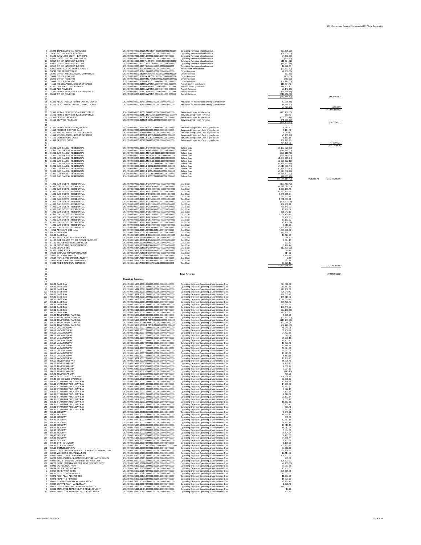2015 Regulatory Financial Statements/2017 Rate Application

## Additional Evidence 9.1 July X 2016

| 35225 TRANSACTIONAL SERVICES                | 25322.000.00000.35225.MCSTUP.00000.000000.000000 | <b>Operating Revenue-Miscellaneous</b>       | (37,625.00)               |            |                   |
|---------------------------------------------|--------------------------------------------------|----------------------------------------------|---------------------------|------------|-------------------|
| 35240 RED LOCK FEE REVENUE                  | 25322.000.00000.35240.000000.00000.000000.000000 | <b>Operating Revenue-Miscellaneous</b>       | (34,809.00)               |            |                   |
| 81501 GAIN/LOSS ON FX - BANK BAL            | 25322.000.00000.81501.000000.00000.000000.000000 | <b>Operating Revenue-Miscellaneous</b>       | (4,499.99)                |            |                   |
| 82003 GAIN/LOSS ON DISPOSITION<br>9         | 25322.000.00000.82003.000000.00000.000000.000000 | <b>Operating Revenue-Miscellaneous</b>       | (235.27)                  |            |                   |
| 82017 OTHER INTEREST INCOME<br>10.          | 25322.000.00000.82017.ARPOTH.00000.000000.000000 | <b>Operating Revenue-Miscellaneous</b>       | (11, 974.02)              |            |                   |
| 82017 OTHER INTEREST INCOME                 | 25322.000.00000.82017.FG1320.00000.000000.000000 | <b>Operating Revenue-Miscellaneous</b>       | (17, 532.34)              |            |                   |
| 82017 OTHER INTEREST INCOME<br>12.          | 25322.000.00000.82017.IC0001.00000.000000.000000 | <b>Operating Revenue-Miscellaneous</b>       | 12,772.45                 |            |                   |
| 82019 INTEREST ON BANK BALANCE<br>13.       | 25322.000.00000.82019.000000.00000.000000.000000 | Income from Investments                      | (70, 333.87)              |            |                   |
| 35241 NSF FEE REVENUE<br>14                 | 25322.000.00000.35241.000000.00000.000000.000000 | <b>Other Revenue</b>                         | (4,300.00)                |            |                   |
| 35299 OTHER MISCELLANEOUS REVENUE<br>15.    | 25322.000.00000.35299.ARPOTH.00000.000000.000000 | <b>Other Revenue</b>                         | (37.63)                   |            |                   |
| 35999 OTHER REVENUE<br>16.                  | 25322.000.00000.35999.ARPOTH.00000.000000.000000 | Other Revenue                                | (150.00)                  |            |                   |
| 35999 OTHER REVENUE                         | 25322.000.00000.35999.MCADMN.00000.000000.000000 | <b>Other Revenue</b>                         | (750.00)                  |            |                   |
| 35999 OTHER REVENUE                         | 25322.000.00000.35999.PS0027.00000.000000.000000 | <b>Other Revenue</b>                         |                           |            |                   |
| 18.<br>41559 MISCELLANEOUS COST OF SALES    | 25322.000.00000.41559.WP0487.00000.000000.000000 |                                              | (39,718.00)<br>113,794.42 |            |                   |
| 19                                          |                                                  | Rental-Cost of goods sold                    |                           |            |                   |
| 41560 LABOUR COST OF SALES<br>20            | 25322.000.00000.41560.WP0487.00000.000000.000000 | Rental-Cost of goods sold                    | 414,402.10                |            |                   |
| 31501 ABC REVENUE<br>21                     | 25322.000.00000.31501.WP0487.00000.000000.000000 | Rental-Revenue                               | (6, 146.25)               |            |                   |
| 31551 RETAIL SERVICES SALES REVENUE<br>22   | 25322.000.00000.31551.WP0487.00000.000000.000000 | Rental-Revenue                               | (35, 568.45)              |            |                   |
| 35999 OTHER REVENUE<br>23                   | 25322.000.00000.35999.WP0487.00000.000000.000000 | Rental-Revenue                               | (419, 732.48)             |            |                   |
| 24                                          |                                                  |                                              | (663, 468.83)             |            | (663, 468.83)     |
| 25                                          |                                                  |                                              |                           |            |                   |
| 26<br>81401 AEDC - ALLOW FUNDS DURING CONST | 25322.000.00000.81401.000000.00000.000000.000000 | Allowance for Funds Used During Construction | (2,938.58)                |            |                   |
| 27<br>81403 AIDC - ALLOW FUNDS DURING CONST | 25322.000.00000.81403.000000.00000.000000.000000 | Allowance for Funds Used During Construction | (1,588.37)                |            |                   |
| 28                                          |                                                  |                                              | (4,526.95)                |            | (4,526.95)        |
| 29                                          |                                                  |                                              |                           |            | (47,666,958.82)   |
| 30<br>31551 RETAIL SERVICES SALES REVENUE   | 25322.000.00000.31551.000000.00000.000000.000000 | Services & Inspection-Revenue                | (195, 459.80)             |            |                   |
| 31551 RETAIL SERVICES SALES REVENUE<br>31   | 25322.000.00000.31551.MCCUST.00000.000000.000000 | Services & Inspection-Revenue                | 839.40                    |            |                   |
| 31552 SERVICE REVENUE<br>32                 | 25322.000.00000.31552.PS0100.00000.000000.000000 | Services & Inspection-Revenue                | (560, 550.74)             |            |                   |
| 33<br>31552 SERVICE REVENUE                 | 25322.000.00000.31552.PS0101.00000.000000.000000 | Services & Inspection-Revenue                | (41, 979.57)              |            |                   |
| 34                                          |                                                  |                                              | (797, 150.71)             |            | (797, 150.71)     |
| 35                                          |                                                  |                                              |                           |            |                   |
| 36<br>41553 RETAIL SERVICES EQUIPMENT       | 25322.000.00000.41553.PS0513.00000.000000.000000 | Services & Inspection-Cost of goods sold     | 4,517.40                  |            |                   |
| 41558 FREIGHT COST OF SALE<br>37            | 25322.000.00000.41558.000000.00000.000000.000000 | Services & Inspection-Cost of goods sold     | 3,174.41                  |            |                   |
| 41559 MISCELLANEOUS COST OF SALES<br>38     | 25322.000.00000.41559.000000.00000.000000.000000 | Services & Inspection-Cost of goods sold     | 1,050.83                  |            |                   |
| 41559 MISCELLANEOUS COST OF SALES<br>39     | 25322.000.00000.41559.PS0515.00000.000000.000000 | Services & Inspection-Cost of goods sold     | (5, 151.34)               |            |                   |
| 41561 COMMERCIAL COGS                       | 25322.000.00000.41561.PS0513.00000.000000.000000 | Services & Inspection-Cost of goods sold     | 1,163.55                  |            |                   |
| 41562 SERVICE COGS<br>41                    | 25322.000.00000.41562.000000.00000.000000.000000 | Services & Inspection-Cost of goods sold     | 469,441.36                |            |                   |
| 42                                          |                                                  |                                              | 474,196.21                |            | 474,196.21        |
| 43                                          |                                                  |                                              |                           |            | (322, 954.50)     |
| 31001 GAS SALES - RESIDENTIAL<br>44         | 25322.000.00000.31001.FG4950.00000.000000.000000 | Sale of Gas                                  | (6, 122, 970.37)          |            |                   |
| 31001 GAS SALES - RESIDENTIAL<br>45         | 25322.000.00000.31001.FG4958.00000.000000.000000 | Sale of Gas                                  | (812, 272.00)             |            |                   |
| 31001 GAS SALES - RESIDENTIAL               | 25322.000.00000.31001.MC0158.00000.000000.000000 | Sale of Gas                                  | (370, 116.49)             |            |                   |
| 31001 GAS SALES - RESIDENTIAL<br>47         | 25322.000.00000.31001.MC0159.00000.000000.000000 | Sale of Gas                                  | (595, 210.62)             |            |                   |
| 31001 GAS SALES - RESIDENTIAL<br>48.        | 25322.000.00000.31001.MC0160.00000.000000.000000 | Sale of Gas                                  | (1,348,301.24)            |            |                   |
| 31001 GAS SALES - RESIDENTIAL               | 25322.000.00000.31001.MC0161.00000.000000.000000 | Sale of Gas                                  | (2,626,602.12)            |            |                   |
| 31001 GAS SALES - RESIDENTIAL<br>50         | 25322.000.00000.31001.PS0151.00000.000000.000000 | Sale of Gas                                  | (5,786,260.48)            |            |                   |
| 31001 GAS SALES - RESIDENTIAL<br>51         | 25322.000.00000.31001.PS0152.00000.000000.000000 | Sale of Gas                                  | (4,616,532.44)            |            |                   |
| 31001 GAS SALES - RESIDENTIAL<br>52         | 25322.000.00000.31001.PS0153.00000.000000.000000 | Sale of Gas                                  | (2, 175, 620.12)          |            |                   |
| 31001 GAS SALES - RESIDENTIAL<br>53         | 25322.000.00000.31001.PS0154.00000.000000.000000 | Sale of Gas                                  | (5,024,042.98)            |            |                   |
| 31001 GAS SALES - RESIDENTIAL<br>54         | 25322.000.00000.31001.PS0155.00000.000000.000000 | Sale of Gas                                  | (8,585,327.30)            |            |                   |
| 31001 GAS SALES - RESIDENTIAL<br>55         | 25322.000.00000.31001.PS0157.00000.000000.000000 | Sale of Gas                                  | (22, 863.26)              |            |                   |
| 56                                          |                                                  |                                              | (38,086,119.42)           | 915,853.76 | (37, 170, 265.66) |
| 57                                          |                                                  |                                              |                           |            |                   |
| 41001 GAS COSTS - RESIDENTIAL<br>58         | 25322.000.00000.41001.FG7020.00000.000000.000000 | <b>Gas Cost</b>                              | (107, 460.42)             |            |                   |
| 41001 GAS COSTS - RESIDENTIAL<br>59         | 25322.000.00000.41001.FG7030.00000.000000.000000 | <b>Gas Cost</b>                              | (1,376,017.53)            |            |                   |
| 41001 GAS COSTS - RESIDENTIAL<br>60         | 25322.000.00000.41001.FG7040.00000.000000.000000 | <b>Gas Cost</b>                              | 1,663,156.46              |            |                   |

 41001 GAS COSTS - RESIDENTIAL 25322.000.00000.41001.FG7040.00000.000000.000000 Gas Cost 1,663,156.46 41001 GAS COSTS - RESIDENTIAL 25322.000.00000.41001.FG7110.00000.000000.000000 Gas Cost 15,393,155.66 41001 GAS COSTS - RESIDENTIAL 25322.000.00000.41001.FG7120.00000.000000.000000 Gas Cost 3,745,253.74 41001 GAS COSTS - RESIDENTIAL 25322.000.00000.41001.FG7130.00000.000000.000000 Gas Cost 660,992.44 41001 GAS COSTS - RESIDENTIAL 25322.000.00000.41001.FG7140.00000.000000.000000 Gas Cost 1,501,068.01 41001 GAS COSTS - RESIDENTIAL 25322.000.00000.41001.FG7150.00000.000000.000000 Gas Cost (326,890.95) 41001 GAS COSTS - RESIDENTIAL 25322.000.00000.41001.FG7170.00000.000000.000000 Gas Cost 157,701.99 41001 GAS COSTS - RESIDENTIAL 25322.000.00000.41001.FG7180.00000.000000.000000 Gas Cost 430,843.20 41001 GAS COSTS - RESIDENTIAL 25322.000.00000.41001.FG7200.00000.000000.000000 Gas Cost 13,788.62 69 41001 GAS COSTS - RESIDENTIAL 25322.000.00000.41001.FG8110.00000.000000.000000.000000 Gas Cost<br>70 41001 GAS COSTS - RESIDENTIAL 25322.000.00000.41001.FG8120.00000.000000.000000.000000 G 41001 GAS COSTS - RESIDENTIAL 25322.000.00000.41001.FG8120.00000.000000.000000 Gas Cost 6,864,766.28 71 41001 GAS COSTS - RESIDENTIAL 25322.000.00000.41001.FG8130.00000.000000.000000.000000 Gas Cost<br>72 41001 GAS COSTS - RESIDENTIAL 25322.000.00000.41001.FG8140.00000.000000.000000 Gas Cost 41001 GAS COSTS - RESIDENTIAL 25322.000.00000.41001.FG8140.00000.000000.000000 Gas Cost 67,167.27

|      | 41001 GAS COSTS - RESIDENTIAL                                         | 25322.000.00000.41001.FG8150.00000.000000.000000                                                     | <b>Gas Cost</b>                                                                                             | (3, 184.59)           |                 |
|------|-----------------------------------------------------------------------|------------------------------------------------------------------------------------------------------|-------------------------------------------------------------------------------------------------------------|-----------------------|-----------------|
| 74   | 41001 GAS COSTS - RESIDENTIAL                                         | 25322.000.00000.41001.FG8170.00000.000000.000000                                                     | <b>Gas Cost</b>                                                                                             | 3,516.53              |                 |
| 75   | 41001 GAS COSTS - RESIDENTIAL                                         | 25322.000.00000.41001.FG8180.00000.000000.000000                                                     | Gas Cost                                                                                                    | 3,289,736.59          |                 |
|      | 45951 AFFILIATE COS - ALL                                             | 25322.000.00000.45951.000000.30404.000000.000000                                                     | Gas Cost                                                                                                    | 4,283,081.96          |                 |
| 77   | 60101 BASE PAY                                                        | 25322.000.25334.60101.FG7000.00000.000000.000000                                                     | Gas Cost                                                                                                    | 140,535.00            |                 |
| 78   | 60101 BASE PAY                                                        | 25322.000.25334.60101.FG8000.00000.000000.000000                                                     | Gas Cost                                                                                                    | 18,027.00             |                 |
| 79   | 61009 SAFETY RELATED SUPPLIES                                         | 25322.000.25334.61009.000000.00000.000000.000000                                                     | Gas Cost                                                                                                    | 945.40                |                 |
|      | 61105 COPIER AND OTHER OFFICE SUPPLIES                                | 25322.000.25334.61105.FG7000.00000.000000.000000                                                     | Gas Cost                                                                                                    | 6,394.13              |                 |
| 81   | 61109 BOOKS AND SUBSCRIPTIONS                                         | 25322.000.25334.61109.000000.00000.000000.000000                                                     | Gas Cost                                                                                                    | 331.53                |                 |
|      | 61109 BOOKS AND SUBSCRIPTIONS                                         | 25322.000.25334.61109.FG7000.00000.000000.000000                                                     | Gas Cost                                                                                                    | 3,147.24              |                 |
| 83   | 61503 LEGAL FEES                                                      | 25322.000.25334.61503.FG7000.00000.000000.000000                                                     | Gas Cost                                                                                                    | (12,500.00)           |                 |
|      | 61503 LEGAL FEES                                                      | 25322.000.25334.61503.FG8000.00000.000000.000000                                                     | Gas Cost                                                                                                    | 598.44<br>314.31      |                 |
|      | 70503 GROUND TRANSPORTATION<br>70505 ACCOMMODATION                    | 25322.000.25334.70503.FG7000.00000.000000.000000<br>25322.000.25334.70505.FG7000.00000.000000.000000 | Gas Cost<br>Gas Cost                                                                                        |                       |                 |
|      | 70507 MEALS AND ENTERTAINMENT                                         | 25322.000.25334.70507.000000.00000.000000.000000                                                     | Gas Cost                                                                                                    | 1,489.22<br>7.38      |                 |
| 87   | 70507 MEALS AND ENTERTAINMENT                                         | 25322.000.25334.70507.FG7000.00000.000000.000000                                                     | Gas Cost                                                                                                    | 27.74                 |                 |
| 89   | 74002 FIXED INTERNAL CHARGES                                          | 25322.000.25334.74002.IC0027.25102.000000.000000                                                     | <b>Gas Cost</b>                                                                                             | 38,628.17             |                 |
| 90   |                                                                       |                                                                                                      |                                                                                                             | 37,170,265.66         | 37,170,265.66   |
| 91   |                                                                       |                                                                                                      |                                                                                                             |                       |                 |
| 92   |                                                                       |                                                                                                      |                                                                                                             |                       |                 |
| 93   |                                                                       |                                                                                                      | <b>Total Revenue</b>                                                                                        |                       | (47,989,913.32) |
| 94   |                                                                       |                                                                                                      |                                                                                                             |                       |                 |
| 95   |                                                                       | <b>Operating Expenses</b>                                                                            |                                                                                                             |                       |                 |
| 96   |                                                                       |                                                                                                      |                                                                                                             |                       |                 |
|      | 60101 BASE PAY                                                        | 25322.000.25300.60101.000000.00000.000000.000000                                                     | Operating Expense-Operating & Maintenance Cost                                                              | 524,892.89            |                 |
|      | 60101 BASE PAY                                                        | 25322.000.25311.60101.000000.00000.000000.000000                                                     | Operating Expense-Operating & Maintenance Cost                                                              | 917,567.38            |                 |
|      | 60101 BASE PAY                                                        | 25322.000.25312.60101.000000.00000.000000.000000                                                     | Operating Expense-Operating & Maintenance Cost                                                              | 390,457.01            |                 |
|      | 60101 BASE PAY                                                        | 25322.000.25330.60101.000000.00000.000000.000000                                                     | Operating Expense-Operating & Maintenance Cost                                                              | 328,040.47            |                 |
|      | 60101 BASE PAY                                                        | 25322.000.25337.60101.000000.00000.000000.000000                                                     | Operating Expense-Operating & Maintenance Cost                                                              | 197,600.48            |                 |
|      | 60101 BASE PAY                                                        | 25322.000.25338.60101.000000.00000.000000.000000                                                     | Operating Expense-Operating & Maintenance Cost                                                              | 136,819.91            |                 |
| 103. | 60101 BASE PAY                                                        | 25322.000.25351.60101.000000.00000.000000.000000                                                     | Operating Expense-Operating & Maintenance Cost                                                              | 1,012,080.71          |                 |
| 104  | 60101 BASE PAY                                                        | 25322.000.25352.60101.000000.00000.000000.000000                                                     | Operating Expense-Operating & Maintenance Cost                                                              | 508,428.47            |                 |
| 105. | 60101 BASE PAY                                                        | 25322.000.25353.60101.000000.00000.000000.000000                                                     | Operating Expense-Operating & Maintenance Cost                                                              | 690,857.57            |                 |
| 106. | 60101 BASE PAY                                                        | 25322.000.25354.60101.000000.00000.000000.000000                                                     | Operating Expense-Operating & Maintenance Cost                                                              | 185,440.67            |                 |
|      | 60101 BASE PAY                                                        | 25322.000.25361.60101.000000.00000.000000.000000                                                     | Operating Expense-Operating & Maintenance Cost                                                              | (37, 161.38)          |                 |
| 108  | 60101 BASE PAY                                                        | 25322.000.25362.60101.000000.00000.000000.000000                                                     | Operating Expense-Operating & Maintenance Cost                                                              | 140,307.93            |                 |
| 109. | 60109 TEMPORARY PAYROLL                                               | 25322.000.25300.60109.000000.00000.000000.000000                                                     | Operating Expense-Operating & Maintenance Cost                                                              | 5,509.00              |                 |
|      | 60109 TEMPORARY PAYROLL                                               | 25322.000.25312.60109.PP2570.00000.000000.000000                                                     | Operating Expense-Operating & Maintenance Cost                                                              | (97,631.50)           |                 |
|      | 60109 TEMPORARY PAYROLL                                               | 25322.000.25320.60109.PP2570.00000.000000.000000                                                     | Operating Expense-Operating & Maintenance Cost                                                              | (116, 188.00)         |                 |
|      | 60109 TEMPORARY PAYROLL                                               | 25322.000.25351.60109.000000.00000.000000.000000                                                     | Operating Expense-Operating & Maintenance Cost                                                              | 102,085.08            |                 |
|      | 60109 TEMPORARY PAYROLL                                               | 25322.000.25351.60109.PP2570.00000.000000.000000                                                     | Operating Expense-Operating & Maintenance Cost                                                              | (87, 120.50)          |                 |
| 114  | 60117 VACATION PAY                                                    | 25322.000.25300.60117.000000.00000.000000.000000                                                     | <b>Operating Expense-Operating &amp; Maintenance Cost</b>                                                   | 45,241.05             |                 |
| 115  | 60117 VACATION PAY                                                    | 25322.000.25311.60117.000000.00000.000000.000000                                                     | Operating Expense-Operating & Maintenance Cost                                                              | 61,957.32             |                 |
| 116  | 60117 VACATION PAY                                                    | 25322.000.25312.60117.000000.00000.000000.000000                                                     | Operating Expense-Operating & Maintenance Cost                                                              | 24,402.36             |                 |
|      | 60117 VACATION PAY                                                    | 25322.000.25320.60117.000000.00000.000000.000000                                                     | Operating Expense-Operating & Maintenance Cost                                                              | 49.54                 |                 |
| 118  | 60117 VACATION PAY                                                    | 25322.000.25330.60117.000000.00000.000000.000000                                                     | Operating Expense-Operating & Maintenance Cost                                                              | 25,901.16             |                 |
| 119  | 60117 VACATION PAY                                                    | 25322.000.25337.60117.000000.00000.000000.000000                                                     | Operating Expense-Operating & Maintenance Cost                                                              | 16,403.90             |                 |
| 120  | 60117 VACATION PAY                                                    | 25322.000.25338.60117.000000.00000.000000.000000                                                     | Operating Expense-Operating & Maintenance Cost                                                              | 13,877.40             |                 |
|      | 60117 VACATION PAY                                                    | 25322.000.25351.60117.000000.00000.000000.000000                                                     | Operating Expense-Operating & Maintenance Cost                                                              | 70,714.46             |                 |
| 122. | 60117 VACATION PAY                                                    | 25322.000.25352.60117.000000.00000.000000.000000                                                     | Operating Expense-Operating & Maintenance Cost                                                              | 37,624.03             |                 |
| 123  | 60117 VACATION PAY                                                    | 25322.000.25353.60117.000000.00000.000000.000000                                                     | <b>Operating Expense-Operating &amp; Maintenance Cost</b>                                                   | 54,277.04             |                 |
|      | 60117 VACATION PAY                                                    | 25322.000.25354.60117.000000.00000.000000.000000                                                     | Operating Expense-Operating & Maintenance Cost                                                              | 13,325.36             |                 |
| 125  | 60117 VACATION PAY                                                    | 25322.000.25361.60117.000000.00000.000000.000000                                                     | Operating Expense-Operating & Maintenance Cost                                                              | 5,869.66              |                 |
| 126  | 60117 VACATION PAY                                                    | 25322.000.25362.60117.000000.00000.000000.000000                                                     | Operating Expense-Operating & Maintenance Cost                                                              | 10,480.73             |                 |
|      | 60119 SEVERANCE PAY                                                   | 25322.000.25338.60119.000000.00000.000000.000000                                                     | <b>Operating Expense-Operating &amp; Maintenance Cost</b>                                                   | 55,205.46             |                 |
| 128  | 60123 TEMP DISABILITY                                                 | 25322.000.25311.60123.000000.00000.000000.000000                                                     | <b>Operating Expense-Operating &amp; Maintenance Cost</b>                                                   | 4,488.13              |                 |
| 129  | 60123 TEMP DISABILITY                                                 | 25322.000.25330.60123.000000.00000.000000.000000                                                     | Operating Expense-Operating & Maintenance Cost                                                              | 2,039.94              |                 |
|      | 60123 TEMP DISABILITY                                                 | 25322.000.25337.60123.000000.00000.000000.000000                                                     | Operating Expense-Operating & Maintenance Cost                                                              | 7,974.69              |                 |
|      | 60123 TEMP DISABILITY                                                 | 25322.000.25351.60123.000000.00000.000000.000000                                                     | Operating Expense-Operating & Maintenance Cost                                                              | (423.10)              |                 |
| 132  | 60123 TEMP DISABILITY                                                 | 25322.000.25353.60123.000000.00000.000000.000000                                                     | <b>Operating Expense-Operating &amp; Maintenance Cost</b>                                                   | 438.21                |                 |
| 133  | 60129 SCHEDULED OVERTIME                                              | 25322.000.25351.60129.000000.00000.000000.000000                                                     | Operating Expense-Operating & Maintenance Cost                                                              | 164,554.17            |                 |
|      | 60129 SCHEDULED OVERTIME                                              | 25322.000.25353.60129.000000.00000.000000.000000                                                     | Operating Expense-Operating & Maintenance Cost                                                              | 83,831.57             |                 |
| 135  | 60131 STATUTORY HOLIDAY PAY                                           | 25322.000.25300.60131.000000.00000.000000.000000                                                     | Operating Expense-Operating & Maintenance Cost                                                              | 13,144.74             |                 |
| 136  | 60131 STATUTORY HOLIDAY PAY                                           | 25322.000.25311.60131.000000.00000.000000.000000                                                     | Operating Expense-Operating & Maintenance Cost                                                              | 14,566.87             |                 |
|      | 60131 STATUTORY HOLIDAY PAY                                           | 25322.000.25312.60131.000000.00000.000000.000000                                                     | <b>Operating Expense-Operating &amp; Maintenance Cost</b>                                                   | 10,572.32             |                 |
| 138  | 60131 STATUTORY HOLIDAY PAY                                           | 25322.000.25330.60131.000000.00000.000000.000000                                                     | Operating Expense-Operating & Maintenance Cost                                                              | 6,872.10              |                 |
|      | 60131 STATUTORY HOLIDAY PAY<br>60131 STATUTORY HOLIDAY PAY            | 25322.000.25337.60131.000000.00000.000000.000000<br>25322.000.25338.60131.000000.00000.000000.000000 | Operating Expense-Operating & Maintenance Cost                                                              | 4,173.54<br>1,427.39  |                 |
|      | 60131 STATUTORY HOLIDAY PAY                                           | 25322.000.25351.60131.000000.00000.000000.000000                                                     | Operating Expense-Operating & Maintenance Cost                                                              |                       |                 |
| 142  | 60131 STATUTORY HOLIDAY PAY                                           | 25322.000.25352.60131.000000.00000.000000.000000                                                     | Operating Expense-Operating & Maintenance Cost<br>Operating Expense-Operating & Maintenance Cost            | 23,172.64<br>8,681.11 |                 |
| 143  | 60131 STATUTORY HOLIDAY PAY                                           | 25322.000.25353.60131.000000.00000.000000.000000                                                     | Operating Expense-Operating & Maintenance Cost                                                              | 18,662.56             |                 |
| 144  | 60131 STATUTORY HOLIDAY PAY                                           | 25322.000.25354.60131.000000.00000.000000.000000                                                     | Operating Expense-Operating & Maintenance Cost                                                              | 3,405.93              |                 |
| 145  | 60131 STATUTORY HOLIDAY PAY                                           | 25322.000.25361.60131.000000.00000.000000.000000                                                     | Operating Expense-Operating & Maintenance Cost                                                              | 533.46                |                 |
| 146  | 60131 STATUTORY HOLIDAY PAY                                           | 25322.000.25362.60131.000000.00000.000000.000000                                                     | Operating Expense-Operating & Maintenance Cost                                                              | 3,921.84              |                 |
| 147  | 60133 SICK PAY                                                        | 25322.000.25300.60133.000000.00000.000000.000000                                                     | Operating Expense-Operating & Maintenance Cost                                                              | 3,246.72              |                 |
|      | 60133 SICK PAY                                                        | 25322.000.25311.60133.000000.00000.000000.000000                                                     | Operating Expense-Operating & Maintenance Cost                                                              | 11,639.49             |                 |
|      | 60133 SICK PAY                                                        | 25322.000.25312.60133.000000.00000.000000.000000                                                     | Operating Expense-Operating & Maintenance Cost                                                              | 641.66                |                 |
|      | 60133 SICK PAY                                                        | 25322.000.25330.60133.000000.00000.000000.000000                                                     | Operating Expense-Operating & Maintenance Cost                                                              | 12,237.16             |                 |
|      | 60133 SICK PAY                                                        | 25322.000.25337.60133.000000.00000.000000.000000                                                     | Operating Expense-Operating & Maintenance Cost                                                              | 21,477.15             |                 |
|      | 60133 SICK PAY                                                        | 25322.000.25338.60133.000000.00000.000000.000000                                                     | Operating Expense-Operating & Maintenance Cost                                                              | 18,518.10             |                 |
|      | 60133 SICK PAY                                                        | 25322.000.25351.60133.000000.00000.000000.000000                                                     | Operating Expense-Operating & Maintenance Cost                                                              | 16,212.24             |                 |
|      | 60133 SICK PAY                                                        | 25322.000.25352.60133.000000.00000.000000.000000                                                     | Operating Expense-Operating & Maintenance Cost                                                              | 3,504.51              |                 |
|      | 60133 SICK PAY                                                        | 25322.000.25353.60133.000000.00000.000000.000000                                                     | Operating Expense-Operating & Maintenance Cost                                                              | 8,724.74              |                 |
|      | 60133 SICK PAY                                                        | 25322.000.25354.60133.000000.00000.000000.000000                                                     | Operating Expense-Operating & Maintenance Cost                                                              | 2,161.56              |                 |
|      | 60133 SICK PAY                                                        | 25322.000.25361.60133.000000.00000.000000.000000                                                     | Operating Expense-Operating & Maintenance Cost                                                              | 34,675.44             |                 |
|      | 60133 SICK PAY                                                        | 25322.000.25362.60133.000000.00000.000000.000000                                                     | Operating Expense-Operating & Maintenance Cost                                                              | 1,435.38              |                 |
|      | 60137 STIP - SR. MGMT                                                 | 25322.000.25320.60137.000000.00000.000000.000000                                                     | Operating Expense-Operating & Maintenance Cost                                                              | 6,170.00              |                 |
|      | 60137 STIP - SR. MGMT                                                 | 25322.000.25320.60137.MCSSHR.00000.000000.000000                                                     | Operating Expense-Operating & Maintenance Cost                                                              | 705,935.76            |                 |
|      | 60139 COMMISSION PAY                                                  | 25322.000.25330.60139.000000.00000.000000.000000                                                     | Operating Expense-Operating & Maintenance Cost                                                              | 37,362.73             |                 |
|      | 60201 CANADA PENSION PLAN - COMPANY CONTRIBUTION                      | 25322.000.25320.60201.000000.00000.000000.000000                                                     | Operating Expense-Operating & Maintenance Cost                                                              | 226,798.21            |                 |
| 163  | 60205 WORKERS COMPENSATION                                            | 25322.000.25320.60205.000000.00000.000000.000000                                                     | Operating Expense-Operating & Maintenance Cost                                                              | 17,414.57             |                 |
|      | 60207 EMPLOYMENT INSURANCE                                            | 25322.000.25320.60207.000000.00000.000000.000000                                                     | Operating Expense-Operating & Maintenance Cost                                                              | 105,697.27            |                 |
|      | 60221 GROUP LIFE INSURANCE EXPENSE - ACTIVE EMPL                      | 25322.000.25320.60221.000000.00000.000000.000000                                                     | Operating Expense-Operating & Maintenance Cost                                                              | 900.41                |                 |
|      | 60227 REGISTERED DB CURRENT SERVICE COST                              | 25322.000.25320.60227.000000.00000.000000.000000                                                     | Operating Expense-Operating & Maintenance Cost                                                              | 128,300.00            |                 |
|      | 60228 SUPPLEMENTAL DB CURRENT SERVICE COST                            | 25322.000.25320.60228.000000.00000.000000.000000                                                     | Operating Expense-Operating & Maintenance Cost                                                              | (7,700.00)            |                 |
| 168  | 60231 DC PENSION PYMT                                                 | 25322.000.25320.60231.000000.00000.000000.000000                                                     | Operating Expense-Operating & Maintenance Cost                                                              | 39,263.36             |                 |
|      | 60239 EDUCATION AWARDS                                                | 25322.000.25320.60239.000000.00000.000000.000000                                                     | Operating Expense-Operating & Maintenance Cost                                                              | 13,700.00             |                 |
|      | 60257 BENEFIT CREDITS                                                 | 25322.000.25320.60257.000000.00000.000000.000000                                                     | Operating Expense-Operating & Maintenance Cost                                                              | 395,365.26            |                 |
|      | 60261 EXECUTIVE BENEFITS                                              | 25322.000.25300.60261.000000.00000.000000.000000                                                     | Operating Expense-Operating & Maintenance Cost                                                              | 10,000.00             |                 |
|      | 60271 FLEX PLAN ADMIN FEES                                            | 25322.000.25320.60271.000000.00000.000000.000000                                                     | Operating Expense-Operating & Maintenance Cost                                                              | 11,657.20             |                 |
|      | 60273 HEALTH & FITNESS                                                | 25322.000.25320.60273.000000.00000.000000.000000                                                     | Operating Expense-Operating & Maintenance Cost                                                              | 15,929.29             |                 |
|      | 60303 EXTENDED MEDICAL - ANNUITANT                                    | 25322.000.25320.60303.000000.00000.000000.000000                                                     | Operating Expense-Operating & Maintenance Cost                                                              | 10,257.16             |                 |
|      | 60307 DENTAL PLAN - ANNUITANT<br>60319 OTHER POST RETIREMENT BENEFITS | 25322.000.25320.60307.000000.00000.000000.000000                                                     | <b>Operating Expense-Operating &amp; Maintenance Cost</b>                                                   | 1,901.40              |                 |
|      | 60401 EMPLOYEE TRAINING AND DEVELOPMENT                               | 25322.000.25320.60319.000000.00000.000000.000000<br>25322.000.25311.60401.000000.00000.000000.000000 | Operating Expense-Operating & Maintenance Cost<br><b>Operating Expense-Operating &amp; Maintenance Cost</b> | 117,000.00<br>17.70   |                 |
|      | 10 60401 EMPLOYEE TRAINING AND DEVELOPMENT                            | 25322.000.25312.60401.000000.00000.000000.000000                                                     | Operating Expense-Operating & Maintenance Cost                                                              | 491.59                |                 |
|      |                                                                       |                                                                                                      |                                                                                                             |                       |                 |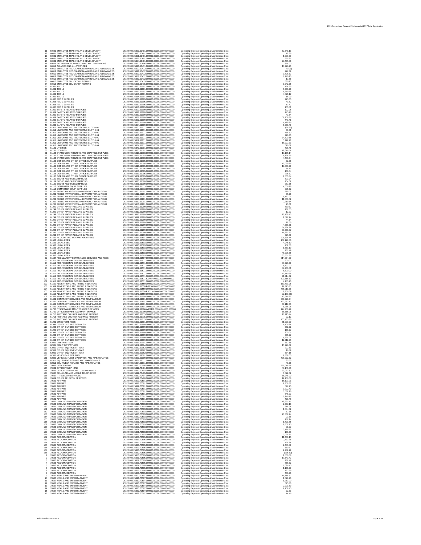2015 Regulatory Financial Statements/2017 Rate Application

Additional Evidence 9.1 July X 2016

| 11                       | 60401 EMPLOYEE TRAINING AND DEVELOPMENT                                                                                                                              | 25322.000.25320.60401.000000.00000.000000.000000                                                                                                                                                             | Operating Expense-Operating & Maintenance Cost                                                                                                                                                       | 52,641.13                                        |
|--------------------------|----------------------------------------------------------------------------------------------------------------------------------------------------------------------|--------------------------------------------------------------------------------------------------------------------------------------------------------------------------------------------------------------|------------------------------------------------------------------------------------------------------------------------------------------------------------------------------------------------------|--------------------------------------------------|
| 12                       | 60401 EMPLOYEE TRAINING AND DEVELOPMENT                                                                                                                              | 25322.000.25330.60401.000000.00000.000000.000000                                                                                                                                                             | Operating Expense-Operating & Maintenance Cost                                                                                                                                                       | 17.86                                            |
| 13                       | 60401 EMPLOYEE TRAINING AND DEVELOPMENT                                                                                                                              | 25322.000.25351.60401.000000.00000.000000.000000                                                                                                                                                             | Operating Expense-Operating & Maintenance Cost                                                                                                                                                       | 1,099.59                                         |
| 14                       | 60401 EMPLOYEE TRAINING AND DEVELOPMENT                                                                                                                              | 25322.000.25352.60401.000000.00000.000000.000000                                                                                                                                                             | Operating Expense-Operating & Maintenance Cost                                                                                                                                                       | 655.81                                           |
| 15                       | 60401 EMPLOYEE TRAINING AND DEVELOPMENT                                                                                                                              | 25322.000.25354.60401.000000.00000.000000.000000                                                                                                                                                             | Operating Expense-Operating & Maintenance Cost                                                                                                                                                       | 27,435.86                                        |
| 16                       | 60405 RECRUITMENT ADVERTISING AND INTERVIEWS                                                                                                                         | 25322.000.25320.60405.000000.00000.000000.000000                                                                                                                                                             | Operating Expense-Operating & Maintenance Cost                                                                                                                                                       | 375.00                                           |
| 17                       | 60411 AWARDS AND ALLOWANCES                                                                                                                                          | 25322.000.25320.60411.000000.00000.000000.000000                                                                                                                                                             | Operating Expense-Operating & Maintenance Cost                                                                                                                                                       | 16,976.23                                        |
| 18                       | 60412 EMPLOYEE RECOGNITION AWARDS AND ALLOWANCES                                                                                                                     | 25322.000.25300.60412.000000.00000.000000.000000                                                                                                                                                             | Operating Expense-Operating & Maintenance Cost                                                                                                                                                       | (0.01)                                           |
| 19                       | 60412 EMPLOYEE RECOGNITION AWARDS AND ALLOWANCES                                                                                                                     | 25322.000.25311.60412.000000.00000.000000.000000                                                                                                                                                             | Operating Expense-Operating & Maintenance Cost                                                                                                                                                       | 277.39                                           |
| 20                       | 60412 EMPLOYEE RECOGNITION AWARDS AND ALLOWANCES                                                                                                                     | 25322.000.25320.60412.000000.00000.000000.000000                                                                                                                                                             | Operating Expense-Operating & Maintenance Cost                                                                                                                                                       | 3,706.67                                         |
| 21<br>22                 | 60412 EMPLOYEE RECOGNITION AWARDS AND ALLOWANCES<br>60412 EMPLOYEE RECOGNITION AWARDS AND ALLOWANCES<br>60415 EMPLOYEE EDUCATION REFUND                              | 25322.000.25351.60412.000000.00000.000000.000000<br>25322.000.25362.60412.000000.00000.000000.000000<br>25322.000.25320.60415.000000.00000.000000.000000                                                     | Operating Expense-Operating & Maintenance Cost<br>Operating Expense-Operating & Maintenance Cost<br>Operating Expense-Operating & Maintenance Cost                                                   | 8,740.10<br>17.86<br>680.95                      |
| 24                       | 60415 EMPLOYEE EDUCATION REFUND                                                                                                                                      | 25322.000.25353.60415.000000.00000.000000.000000                                                                                                                                                             | Operating Expense-Operating & Maintenance Cost                                                                                                                                                       | 3,042.75                                         |
| 25                       | 61001 TOOLS                                                                                                                                                          | 25322.000.25350.61001.000000.00000.000000.000000                                                                                                                                                             | Operating Expense-Operating & Maintenance Cost                                                                                                                                                       | 154.55                                           |
| 26                       | 61001 TOOLS                                                                                                                                                          | 25322.000.25351.61001.000000.00000.000000.000000                                                                                                                                                             | Operating Expense-Operating & Maintenance Cost                                                                                                                                                       | 5,366.76                                         |
| 27                       | 61001 TOOLS                                                                                                                                                          | 25322.000.25352.61001.000000.00000.000000.000000                                                                                                                                                             | Operating Expense-Operating & Maintenance Cost                                                                                                                                                       | 1,649.75                                         |
| 28<br>29.                | 61001 TOOLS<br>61001 TOOLS<br>61005 FOOD SUPPLIES                                                                                                                    | 25322.000.25353.61001.000000.00000.000000.000000<br>25322.000.25354.61001.000000.00000.000000.000000<br>25322.000.25300.61005.000000.00000.000000.000000                                                     | Operating Expense-Operating & Maintenance Cost<br>Operating Expense-Operating & Maintenance Cost<br>Operating Expense-Operating & Maintenance Cost                                                   | 4,571.17<br>16.99<br>775.65                      |
| 31                       | 61005 FOOD SUPPLIES                                                                                                                                                  | 25322.000.25351.61005.000000.00000.000000.000000                                                                                                                                                             | Operating Expense-Operating & Maintenance Cost                                                                                                                                                       | 41.82                                            |
| 32                       | 61005 FOOD SUPPLIES                                                                                                                                                  | 25322.000.25352.61005.000000.00000.000000.000000                                                                                                                                                             | Operating Expense-Operating & Maintenance Cost                                                                                                                                                       | 13.42                                            |
| 33                       | 61005 FOOD SUPPLIES                                                                                                                                                  | 25322.000.25353.61005.000000.00000.000000.000000                                                                                                                                                             | Operating Expense-Operating & Maintenance Cost                                                                                                                                                       | 153.51                                           |
| 34                       | 61009 SAFETY RELATED SUPPLIES                                                                                                                                        | 25322.000.25300.61009.000000.00000.000000.000000                                                                                                                                                             | Operating Expense-Operating & Maintenance Cost                                                                                                                                                       | 192.95                                           |
| 35                       | 61009 SAFETY RELATED SUPPLIES                                                                                                                                        | 25322.000.25311.61009.000000.00000.000000.000000                                                                                                                                                             | Operating Expense-Operating & Maintenance Cost                                                                                                                                                       | 145.78                                           |
| 36                       | 61009 SAFETY RELATED SUPPLIES                                                                                                                                        | 25322.000.25337.61009.000000.00000.000000.000000                                                                                                                                                             | Operating Expense-Operating & Maintenance Cost                                                                                                                                                       | 43.84                                            |
| 37                       | 61009 SAFETY RELATED SUPPLIES                                                                                                                                        | 25322.000.25351.61009.000000.00000.000000.000000                                                                                                                                                             | Operating Expense-Operating & Maintenance Cost                                                                                                                                                       | 59,208.38                                        |
| 38                       | 61009 SAFETY RELATED SUPPLIES                                                                                                                                        | 25322.000.25352.61009.000000.00000.000000.000000                                                                                                                                                             | Operating Expense-Operating & Maintenance Cost                                                                                                                                                       | 443.41                                           |
| 39                       | 61009 SAFETY RELATED SUPPLIES                                                                                                                                        | 25322.000.25353.61009.000000.00000.000000.000000                                                                                                                                                             | Operating Expense-Operating & Maintenance Cost                                                                                                                                                       | 1,479.96                                         |
| 40                       | 61009 SAFETY RELATED SUPPLIES                                                                                                                                        | 25322.000.25354.61009.000000.00000.000000.000000                                                                                                                                                             | Operating Expense-Operating & Maintenance Cost                                                                                                                                                       | 5,253.49                                         |
| 41                       | 61011 UNIFORMS AND PROTECTIVE CLOTHING                                                                                                                               | 25322.000.25300.61011.000000.00000.000000.000000                                                                                                                                                             | Operating Expense-Operating & Maintenance Cost                                                                                                                                                       | (36.37)                                          |
| 42                       | 61011 UNIFORMS AND PROTECTIVE CLOTHING                                                                                                                               | 25322.000.25330.61011.000000.00000.000000.000000                                                                                                                                                             | Operating Expense-Operating & Maintenance Cost                                                                                                                                                       | 39.01                                            |
| 43                       | 61011 UNIFORMS AND PROTECTIVE CLOTHING                                                                                                                               | 25322.000.25337.61011.000000.00000.000000.000000                                                                                                                                                             | Operating Expense-Operating & Maintenance Cost                                                                                                                                                       | 466.60                                           |
| 44                       | 61011 UNIFORMS AND PROTECTIVE CLOTHING                                                                                                                               | 25322.000.25350.61011.000000.00000.000000.000000                                                                                                                                                             | Operating Expense-Operating & Maintenance Cost                                                                                                                                                       | 720.35                                           |
| 45<br>46                 | 61011 UNIFORMS AND PROTECTIVE CLOTHING<br>61011 UNIFORMS AND PROTECTIVE CLOTHING<br>61011 UNIFORMS AND PROTECTIVE CLOTHING<br>61011 UNIFORMS AND PROTECTIVE CLOTHING | 25322.000.25351.61011.000000.00000.000000.000000<br>25322.000.25352.61011.000000.00000.000000.000000<br>25322.000.25353.61011.000000.00000.000000.000000<br>25322.000.25354.61011.000000.00000.000000.000000 | Operating Expense-Operating & Maintenance Cost<br>Operating Expense-Operating & Maintenance Cost<br>Operating Expense-Operating & Maintenance Cost<br>Operating Expense-Operating & Maintenance Cost | 34,799.85<br>5,422.91<br>18,027.73<br>670.52     |
|                          | 61101 UTILITIES                                                                                                                                                      | 25322.000.25340.61101.000000.00000.000000.000000                                                                                                                                                             | Operating Expense-Operating & Maintenance Cost                                                                                                                                                       | 406.46                                           |
|                          | 61101 UTILITIES                                                                                                                                                      | 25322.000.25350.61101.000000.00000.000000.000000                                                                                                                                                             | Operating Expense-Operating & Maintenance Cost                                                                                                                                                       | 17,616.64                                        |
|                          | 61103 STATIONERY PRINTING AND DRAFTING SUPPLIES                                                                                                                      | 25322.000.25313.61103.000000.00000.000000.000000                                                                                                                                                             | Operating Expense-Operating & Maintenance Cost                                                                                                                                                       | 17,165.14                                        |
|                          | 61103 STATIONERY PRINTING AND DRAFTING SUPPLIES                                                                                                                      | 25322.000.25351.61103.000000.00000.000000.000000                                                                                                                                                             | Operating Expense-Operating & Maintenance Cost                                                                                                                                                       | 1,734.95                                         |
|                          | 61103 STATIONERY PRINTING AND DRAFTING SUPPLIES                                                                                                                      | 25322.000.25353.61103.000000.00000.000000.000000                                                                                                                                                             | Operating Expense-Operating & Maintenance Cost                                                                                                                                                       | 4,486.04                                         |
|                          | 61105 COPIER AND OTHER OFFICE SUPPLIES                                                                                                                               | 25322.000.25300.61105.000000.00000.000000.000000                                                                                                                                                             | Operating Expense-Operating & Maintenance Cost                                                                                                                                                       | 32.56                                            |
|                          | 61105 COPIER AND OTHER OFFICE SUPPLIES                                                                                                                               | 25322.000.25312.61105.000000.00000.000000.000000                                                                                                                                                             | Operating Expense-Operating & Maintenance Cost                                                                                                                                                       | 10,069.76                                        |
| 57                       | 61105 COPIER AND OTHER OFFICE SUPPLIES                                                                                                                               | 25322.000.25313.61105.000000.00000.000000.000000                                                                                                                                                             | Operating Expense-Operating & Maintenance Cost                                                                                                                                                       | 17,660.99                                        |
|                          | 61105 COPIER AND OTHER OFFICE SUPPLIES                                                                                                                               | 25322.000.25330.61105.000000.00000.000000.000000                                                                                                                                                             | Operating Expense-Operating & Maintenance Cost                                                                                                                                                       | 55.41                                            |
|                          | 61105 COPIER AND OTHER OFFICE SUPPLIES                                                                                                                               | 25322.000.25350.61105.000000.00000.000000.000000                                                                                                                                                             | Operating Expense-Operating & Maintenance Cost                                                                                                                                                       | 108.44                                           |
|                          | 61105 COPIER AND OTHER OFFICE SUPPLIES                                                                                                                               | 25322.000.25353.61105.000000.00000.000000.000000                                                                                                                                                             | Operating Expense-Operating & Maintenance Cost                                                                                                                                                       | 275.62                                           |
|                          | 61105 COPIER AND OTHER OFFICE SUPPLIES                                                                                                                               | 25322.000.25362.61105.000000.00000.000000.000000                                                                                                                                                             | Operating Expense-Operating & Maintenance Cost                                                                                                                                                       | 9,553.84                                         |
|                          | 61109 BOOKS AND SUBSCRIPTIONS                                                                                                                                        | 25322.000.25313.61109.000000.00000.000000.000000                                                                                                                                                             | Operating Expense-Operating & Maintenance Cost                                                                                                                                                       | 893.04                                           |
|                          | 61109 BOOKS AND SUBSCRIPTIONS                                                                                                                                        | 25322.000.25330.61109.000000.00000.000000.000000                                                                                                                                                             | Operating Expense-Operating & Maintenance Cost                                                                                                                                                       | 254.02                                           |
|                          | 61109 BOOKS AND SUBSCRIPTIONS                                                                                                                                        | 25322.000.25351.61109.000000.00000.000000.000000                                                                                                                                                             | Operating Expense-Operating & Maintenance Cost                                                                                                                                                       | 287.55                                           |
|                          | 61113 COMPUTER EQUIP SUPPLIES                                                                                                                                        | 25322.000.25312.61113.000000.00000.000000.000000                                                                                                                                                             | Operating Expense-Operating & Maintenance Cost                                                                                                                                                       | 4,056.98                                         |
|                          | 61113 COMPUTER EQUIP SUPPLIES                                                                                                                                        | 25322.000.25351.61113.000000.00000.000000.000000                                                                                                                                                             | Operating Expense-Operating & Maintenance Cost                                                                                                                                                       | 205.62                                           |
| 67                       | 61201 PUBLIC AWARENESS AND PROMOTIONAL ITEMS                                                                                                                         | 25322.000.25300.61201.000000.00000.000000.000000                                                                                                                                                             | Operating Expense-Operating & Maintenance Cost                                                                                                                                                       | 979.07                                           |
|                          | 61201 PUBLIC AWARENESS AND PROMOTIONAL ITEMS                                                                                                                         | 25322.000.25312.61201.000000.00000.000000.000000                                                                                                                                                             | Operating Expense-Operating & Maintenance Cost                                                                                                                                                       | 35.76                                            |
|                          | 61201 PUBLIC AWARENESS AND PROMOTIONAL ITEMS                                                                                                                         | 25322.000.25329.61201.000000.00000.000000.000000                                                                                                                                                             | Operating Expense-Operating & Maintenance Cost                                                                                                                                                       | 5,173.01                                         |
|                          | 61201 PUBLIC AWARENESS AND PROMOTIONAL ITEMS                                                                                                                         | 25322.000.25330.61201.000000.00000.000000.000000                                                                                                                                                             | Operating Expense-Operating & Maintenance Cost                                                                                                                                                       | 11,560.42                                        |
|                          | 61201 PUBLIC AWARENESS AND PROMOTIONAL ITEMS                                                                                                                         | 25322.000.25332.61201.000000.00000.000000.000000                                                                                                                                                             | Operating Expense-Operating & Maintenance Cost                                                                                                                                                       | 2,219.54                                         |
|                          | 61201 PUBLIC AWARENESS AND PROMOTIONAL ITEMS                                                                                                                         | 25322.000.25353.61201.000000.00000.000000.000000                                                                                                                                                             | Operating Expense-Operating & Maintenance Cost                                                                                                                                                       | 23.01                                            |
|                          | 61299 OTHER MATERIALS AND SUPPLIES                                                                                                                                   | 25322.000.25300.61299.000000.00000.000000.000000                                                                                                                                                             | Operating Expense-Operating & Maintenance Cost                                                                                                                                                       | 730.32                                           |
| 74<br>75.<br>76          | 61299 OTHER MATERIALS AND SUPPLIES<br>61299 OTHER MATERIALS AND SUPPLIES<br>61299 OTHER MATERIALS AND SUPPLIES<br>61299 OTHER MATERIALS AND SUPPLIES                 | 25322.000.25311.61299.000000.00000.000000.000000<br>25322.000.25312.61299.000000.00000.000000.000000<br>25322.000.25313.61299.000000.00000.000000.000000<br>25322.000.25329.61299.000000.00000.000000.000000 | Operating Expense-Operating & Maintenance Cost<br>Operating Expense-Operating & Maintenance Cost<br>Operating Expense-Operating & Maintenance Cost<br>Operating Expense-Operating & Maintenance Cost | 137.05<br>12.27<br>10,438.43<br>1,597.24         |
|                          | 61299 OTHER MATERIALS AND SUPPLIES<br>61299 OTHER MATERIALS AND SUPPLIES<br>61299 OTHER MATERIALS AND SUPPLIES<br>61299 OTHER MATERIALS AND SUPPLIES                 | 25322.000.25330.61299.000000.00000.000000.000000<br>25322.000.25337.61299.000000.00000.000000.000000<br>25322.000.25350.61299.000000.00000.000000.000000                                                     | Operating Expense-Operating & Maintenance Cost<br>Operating Expense-Operating & Maintenance Cost<br>Operating Expense-Operating & Maintenance Cost                                                   | 44.64<br>12.56<br>4,668.31                       |
|                          | 61299 OTHER MATERIALS AND SUPPLIES<br>61299 OTHER MATERIALS AND SUPPLIES<br>61299 OTHER MATERIALS AND SUPPLIES                                                       | 25322.000.25351.61299.000000.00000.000000.000000<br>25322.000.25352.61299.000000.00000.000000.000000<br>25322.000.25353.61299.000000.00000.000000.000000<br>25322.000.25354.61299.000000.00000.000000.000000 | Operating Expense-Operating & Maintenance Cost<br>Operating Expense-Operating & Maintenance Cost<br>Operating Expense-Operating & Maintenance Cost<br>Operating Expense-Operating & Maintenance Cost | 34,984.94<br>89,363.87<br>11,881.57<br>725.69    |
| 86<br>87                 | 61501 ACCOUNTING TAX AND AUDIT FEES<br>61503 LEGAL FEES<br>61503 LEGAL FEES<br>61503 LEGAL FEES                                                                      | 25322.000.25311.61501.000000.00000.000000.000000<br>25322.000.25300.61503.000000.00000.000000.000000<br>25322.000.25311.61503.000000.00000.000000.000000<br>25322.000.25320.61503.000000.00000.000000.000000 | <b>Operating Expense-Operating &amp; Maintenance Cost</b><br>Operating Expense-Operating & Maintenance Cost<br>Operating Expense-Operating & Maintenance Cost                                        | 201,636.44<br>169,129.46<br>4,045.10<br>762.03   |
|                          | 61503 LEGAL FEES<br>61503 LEGAL FEES<br>61503 LEGAL FEES                                                                                                             | 25322.000.25351.61503.000000.00000.000000.000000<br>25322.000.25353.61503.000000.00000.000000.000000<br>25322.000.25361.61503.000000.00000.000000.000000                                                     | Operating Expense-Operating & Maintenance Cost<br>Operating Expense-Operating & Maintenance Cost<br>Operating Expense-Operating & Maintenance Cost<br>Operating Expense-Operating & Maintenance Cost | 1,561.19<br>231.49<br>46,996.85                  |
| 91<br>94                 | 61503 LEGAL FEES<br>61507 REGULATORY COMPLIANCE SERVICES AND FEES<br>61511 PROFESSIONAL CONSULTING FEES<br>61511 PROFESSIONAL CONSULTING FEES                        | 25322.000.25362.61503.000000.00000.000000.000000<br>25322.000.25361.61507.000000.00000.000000.000000<br>25322.000.25311.61511.000000.00000.000000.000000<br>25322.000.25312.61511.000000.00000.000000.000000 | Operating Expense-Operating & Maintenance Cost<br>Operating Expense-Operating & Maintenance Cost<br>Operating Expense-Operating & Maintenance Cost<br>Operating Expense-Operating & Maintenance Cost | 33,551.36<br>514,964.90<br>600.00<br>80,273.39   |
| 95<br>97                 | 61511 PROFESSIONAL CONSULTING FEES<br>61511 PROFESSIONAL CONSULTING FEES<br>61511 PROFESSIONAL CONSULTING FEES                                                       | 25322.000.25320.61511.000000.00000.000000.000000<br>25322.000.25332.61511.000000.00000.000000.000000<br>25322.000.25337.61511.000000.00000.000000.000000                                                     | Operating Expense-Operating & Maintenance Cost<br>Operating Expense-Operating & Maintenance Cost<br>Operating Expense-Operating & Maintenance Cost                                                   | 5,793.00<br>87,900.41<br>6,600.00                |
| 100<br>101               | 61511 PROFESSIONAL CONSULTING FEES<br>61511 PROFESSIONAL CONSULTING FEES<br>61511 PROFESSIONAL CONSULTING FEES<br>61511 PROFESSIONAL CONSULTING FEES                 | 25322.000.25361.61511.000000.00000.000000.000000<br>25322.000.25362.61511.000000.00000.000000.000000<br>25322.000.25362.61511.IC0037.00000.000000.000000<br>25322.000.25363.61511.000000.00000.000000.000000 | Operating Expense-Operating & Maintenance Cost<br>Operating Expense-Operating & Maintenance Cost<br>Operating Expense-Operating & Maintenance Cost<br>Operating Expense-Operating & Maintenance Cost | 47,410.35<br>91,714.32<br>820,816.59<br>4,183.20 |
| 102                      | 61559 ADVERTISING AND PUBLIC RELATIONS                                                                                                                               | 25322.000.25329.61559.000000.00000.000000.000000                                                                                                                                                             | Operating Expense-Operating & Maintenance Cost                                                                                                                                                       | 160,431.05                                       |
| 103                      | 61559 ADVERTISING AND PUBLIC RELATIONS                                                                                                                               | 25322.000.25330.61559.FG9160.00000.000000.000000                                                                                                                                                             | Operating Expense-Operating & Maintenance Cost                                                                                                                                                       | 17,375.35                                        |
| 104                      | 61559 ADVERTISING AND PUBLIC RELATIONS                                                                                                                               | 25322.000.25332.61559.000000.00000.000000.000000                                                                                                                                                             | Operating Expense-Operating & Maintenance Cost                                                                                                                                                       | 485,911.36                                       |
| 105                      | 61559 ADVERTISING AND PUBLIC RELATIONS                                                                                                                               | 25322.000.25332.61559.PS0116.00000.000000.000000                                                                                                                                                             | Operating Expense-Operating & Maintenance Cost                                                                                                                                                       | 9,356.69                                         |
| 106                      | 61559 ADVERTISING AND PUBLIC RELATIONS                                                                                                                               | 25322.000.25340.61559.000000.00000.000000.000000                                                                                                                                                             | Operating Expense-Operating & Maintenance Cost                                                                                                                                                       | (2,180.86)                                       |
| 107                      | 61559 ADVERTISING AND PUBLIC RELATIONS                                                                                                                               | 25322.000.25362.61559.000000.00000.000000.000000                                                                                                                                                             | Operating Expense-Operating & Maintenance Cost                                                                                                                                                       | 13,616.92                                        |
| 108                      | 61601 CONTRACT SERVICES AND TEMP LABOUR                                                                                                                              | 25322.000.25351.61601.000000.00000.000000.000000                                                                                                                                                             | Operating Expense-Operating & Maintenance Cost                                                                                                                                                       | 559,276.04                                       |
| 109                      | 61601 CONTRACT SERVICES AND TEMP LABOUR                                                                                                                              | 25322.000.25352.61601.000000.00000.000000.000000                                                                                                                                                             | Operating Expense-Operating & Maintenance Cost                                                                                                                                                       | 122,952.13                                       |
| 110                      | 61601 CONTRACT SERVICES AND TEMP LABOUR                                                                                                                              | 25322.000.25353.61601.000000.00000.000000.000000                                                                                                                                                             | Operating Expense-Operating & Maintenance Cost                                                                                                                                                       | 39,117.30                                        |
| 111                      | 61601 CONTRACT SERVICES AND TEMP LABOUR                                                                                                                              | 25322.000.25354.61601.000000.00000.000000.000000                                                                                                                                                             | Operating Expense-Operating & Maintenance Cost                                                                                                                                                       | 1,285.98                                         |
| 112                      | 61706 IT SOFTWARE MAINTENANCE SERVICES                                                                                                                               | 25322.000.25312.61706.WP0489.00000.000000.000000                                                                                                                                                             | Operating Expense-Operating & Maintenance Cost                                                                                                                                                       | 124,960.29                                       |
| 113                      | 61709 OFFICE REPAIRS AND MAINTENANCE                                                                                                                                 | 25322.000.25350.61709.000000.00000.000000.000000                                                                                                                                                             | Operating Expense-Operating & Maintenance Cost                                                                                                                                                       | 66,555.96                                        |
| 114                      | 61715 POSTAGE COURIER AND MISC FREIGHT                                                                                                                               | 25322.000.25313.61715.000000.00000.000000.000000                                                                                                                                                             | Operating Expense-Operating & Maintenance Cost                                                                                                                                                       | 10,915.44                                        |
| 115                      | 61715 POSTAGE COURIER AND MISC FREIGHT                                                                                                                               | 25322.000.25351.61715.000000.00000.000000.000000                                                                                                                                                             | Operating Expense-Operating & Maintenance Cost                                                                                                                                                       | 22.12                                            |
| 116                      | 61715 POSTAGE COURIER AND MISC FREIGHT                                                                                                                               | 25322.000.25362.61715.000000.00000.000000.000000                                                                                                                                                             | Operating Expense-Operating & Maintenance Cost                                                                                                                                                       | 105,435.36                                       |
| 117                      | 61901 DIRECTORS FEES                                                                                                                                                 | 25322.000.25300.61901.000000.00000.000000.000000                                                                                                                                                             | Operating Expense-Operating & Maintenance Cost                                                                                                                                                       | 51,000.00                                        |
| 118                      | 61999 OTHER OUTSIDE SERVICES                                                                                                                                         | 25322.000.25300.61999.000000.00000.000000.000000                                                                                                                                                             | Operating Expense-Operating & Maintenance Cost                                                                                                                                                       | 1,106.24                                         |
| 119<br>120               | 61999 OTHER OUTSIDE SERVICES<br>61999 OTHER OUTSIDE SERVICES<br>61999 OTHER OUTSIDE SERVICES<br>61999 OTHER OUTSIDE SERVICES                                         | 25322.000.25313.61999.000000.00000.000000.000000<br>25322.000.25329.61999.000000.00000.000000.000000<br>25322.000.25337.61999.000000.00000.000000.000000<br>25322.000.25350.61999.000000.00000.000000.000000 | Operating Expense-Operating & Maintenance Cost<br>Operating Expense-Operating & Maintenance Cost<br>Operating Expense-Operating & Maintenance Cost<br>Operating Expense-Operating & Maintenance Cost | 362.22<br>158.77<br>200.01<br>355.27             |
|                          | 61999 OTHER OUTSIDE SERVICES                                                                                                                                         | 25322.000.25351.61999.000000.00000.000000.000000                                                                                                                                                             | Operating Expense-Operating & Maintenance Cost                                                                                                                                                       | 1,235.05                                         |
|                          | 61999 OTHER OUTSIDE SERVICES                                                                                                                                         | 25322.000.25352.61999.000000.00000.000000.000000                                                                                                                                                             | Operating Expense-Operating & Maintenance Cost                                                                                                                                                       | 12,712.93                                        |
|                          | 62001 LINE PIPE - MAT                                                                                                                                                | 25322.000.25351.62001.000000.00000.000000.000000                                                                                                                                                             | Operating Expense-Operating & Maintenance Cost                                                                                                                                                       | 662.88                                           |
| 126                      | 62004 RIGHT OF WAY - O/S                                                                                                                                             | 25322.000.25352.62004.000000.00000.000000.000000                                                                                                                                                             | Operating Expense-Operating & Maintenance Cost                                                                                                                                                       | 15,276.09                                        |
| 127                      | 62062 OTHER EQUIPMENT - MAT                                                                                                                                          | 25322.000.25350.62062.000000.00000.000000.000000                                                                                                                                                             | Operating Expense-Operating & Maintenance Cost                                                                                                                                                       | 202.51                                           |
| 128                      | 62062 OTHER EQUIPMENT - MAT                                                                                                                                          | 25322.000.25351.62062.000000.00000.000000.000000                                                                                                                                                             | Operating Expense-Operating & Maintenance Cost                                                                                                                                                       | 16.89                                            |
| 129.                     | 62062 OTHER EQUIPMENT - MAT                                                                                                                                          | 25322.000.25353.62062.000000.00000.000000.000000                                                                                                                                                             | Operating Expense-Operating & Maintenance Cost                                                                                                                                                       | 334.15                                           |
| 130<br>131<br>132<br>133 | 62301 VEHICLE / FLEET FUEL<br>62309 VEHICLE / FLEET OPERATION AND MAINTENANCE<br>62311 EQUIPMENT REPAIRS AND MAINTENANCE<br>62311 EQUIPMENT REPAIRS AND MAINTENANCE  | 25322.000.25350.62301.000000.00000.000000.000000<br>25322.000.25350.62309.000000.00000.000000.000000<br>25322.000.25351.62311.000000.00000.000000.000000<br>25322.000.25354.62311.000000.00000.000000.000000 | Operating Expense-Operating & Maintenance Cost<br>Operating Expense-Operating & Maintenance Cost<br>Operating Expense-Operating & Maintenance Cost                                                   | 1,839.00<br>406,072.32<br>85.65<br>43.76         |
| 134<br>135<br>136        | 70005 OFFICE RENT<br>70401 OFFICE TELEPHONE<br>70403 OFFICE TELEPHONE LONG DISTANCE                                                                                  | 25322.000.25350.70005.000000.00000.000000.000000<br>25322.000.25312.70401.000000.00000.000000.000000<br>25322.000.25312.70403.000000.00000.000000.000000                                                     | Operating Expense-Operating & Maintenance Cost<br>Operating Expense-Operating & Maintenance Cost<br>Operating Expense-Operating & Maintenance Cost<br>Operating Expense-Operating & Maintenance Cost | 565,016.58<br>48,143.85<br>39,073.80             |
| 137                      | 70405 CELLULAR AND MOBILE TELEPHONES                                                                                                                                 | 25322.000.25312.70405.000000.00000.000000.000000                                                                                                                                                             | Operating Expense-Operating & Maintenance Cost                                                                                                                                                       | 3,572.62                                         |
| 138                      | 70407 IT TELECOM SERVICES                                                                                                                                            | 25322.000.25312.70407.000000.00000.000000.000000                                                                                                                                                             | Operating Expense-Operating & Maintenance Cost                                                                                                                                                       | 66,248.00                                        |
| 139                      | 70409 OTHER TELECOM SERVICES                                                                                                                                         | 25322.000.25312.70409.000000.00000.000000.000000                                                                                                                                                             | Operating Expense-Operating & Maintenance Cost                                                                                                                                                       | 12,106.68                                        |
| 140                      | 70501 AIRFARE                                                                                                                                                        | 25322.000.25300.70501.000000.00000.000000.000000                                                                                                                                                             | Operating Expense-Operating & Maintenance Cost                                                                                                                                                       | 16,193.91                                        |
| 141                      | 70501 AIRFARE                                                                                                                                                        | 25322.000.25311.70501.000000.00000.000000.000000                                                                                                                                                             | Operating Expense-Operating & Maintenance Cost                                                                                                                                                       | 2,368.81                                         |
| 142                      | 70501 AIRFARE                                                                                                                                                        | 25322.000.25312.70501.000000.00000.000000.000000                                                                                                                                                             | Operating Expense-Operating & Maintenance Cost                                                                                                                                                       | 697.95                                           |
| 143                      | 70501 AIRFARE                                                                                                                                                        | 25322.000.25320.70501.000000.00000.000000.000000                                                                                                                                                             | Operating Expense-Operating & Maintenance Cost                                                                                                                                                       | 3,222.40                                         |
| 144                      | 70501 AIRFARE                                                                                                                                                        | 25322.000.25351.70501.000000.00000.000000.000000                                                                                                                                                             | Operating Expense-Operating & Maintenance Cost                                                                                                                                                       | 3,682.16                                         |
| 145                      | 70501 AIRFARE                                                                                                                                                        | 25322.000.25352.70501.000000.00000.000000.000000                                                                                                                                                             | Operating Expense-Operating & Maintenance Cost                                                                                                                                                       | 848.27                                           |
| 146                      | 70501 AIRFARE                                                                                                                                                        | 25322.000.25354.70501.000000.00000.000000.000000                                                                                                                                                             | Operating Expense-Operating & Maintenance Cost                                                                                                                                                       | 6,746.18                                         |
| 147                      | 70501 AIRFARE                                                                                                                                                        | 25322.000.25362.70501.000000.00000.000000.000000                                                                                                                                                             | Operating Expense-Operating & Maintenance Cost                                                                                                                                                       | 478.48                                           |
| 148                      | 70503 GROUND TRANSPORTATION                                                                                                                                          | 25322.000.25300.70503.000000.00000.000000.000000                                                                                                                                                             | Operating Expense-Operating & Maintenance Cost                                                                                                                                                       | 18,551.41                                        |
| 149                      | 70503 GROUND TRANSPORTATION                                                                                                                                          | 25322.000.25311.70503.000000.00000.000000.000000                                                                                                                                                             | Operating Expense-Operating & Maintenance Cost                                                                                                                                                       | 2,337.18                                         |
| 150                      | 70503 GROUND TRANSPORTATION                                                                                                                                          | 25322.000.25312.70503.000000.00000.000000.000000                                                                                                                                                             | Operating Expense-Operating & Maintenance Cost                                                                                                                                                       | 216.94                                           |
| 151                      | 70503 GROUND TRANSPORTATION                                                                                                                                          | 25322.000.25320.70503.000000.00000.000000.000000                                                                                                                                                             | Operating Expense-Operating & Maintenance Cost                                                                                                                                                       | 1,684.62                                         |
| 152                      | 70503 GROUND TRANSPORTATION                                                                                                                                          | 25322.000.25329.70503.000000.00000.000000.000000                                                                                                                                                             | Operating Expense-Operating & Maintenance Cost                                                                                                                                                       | 67.65                                            |
| 153                      | 70503 GROUND TRANSPORTATION                                                                                                                                          | 25322.000.25330.70503.000000.00000.000000.000000                                                                                                                                                             | Operating Expense-Operating & Maintenance Cost                                                                                                                                                       | 23,807.94                                        |
| 154                      | 70503 GROUND TRANSPORTATION                                                                                                                                          | 25322.000.25332.70503.000000.00000.000000.000000                                                                                                                                                             | Operating Expense-Operating & Maintenance Cost                                                                                                                                                       | 23.56                                            |
| 155                      | 70503 GROUND TRANSPORTATION                                                                                                                                          | 25322.000.25337.70503.000000.00000.000000.000000                                                                                                                                                             | Operating Expense-Operating & Maintenance Cost                                                                                                                                                       | 187.14                                           |
| 156                      | 70503 GROUND TRANSPORTATION                                                                                                                                          | 25322.000.25351.70503.000000.00000.000000.000000                                                                                                                                                             | Operating Expense-Operating & Maintenance Cost                                                                                                                                                       | 1,401.85                                         |
| 157                      | 70503 GROUND TRANSPORTATION                                                                                                                                          | 25322.000.25352.70503.000000.00000.000000.000000                                                                                                                                                             | Operating Expense-Operating & Maintenance Cost                                                                                                                                                       | 2,807.10                                         |
| 159<br>160<br>161        | 70503 GROUND TRANSPORTATION<br>70503 GROUND TRANSPORTATION<br>70503 GROUND TRANSPORTATION<br>70503 GROUND TRANSPORTATION                                             | 25322.000.25353.70503.000000.00000.000000.000000<br>25322.000.25354.70503.000000.00000.000000.000000<br>25322.000.25361.70503.000000.00000.000000.000000<br>25322.000.25362.70503.000000.00000.000000.000000 | Operating Expense-Operating & Maintenance Cost<br>Operating Expense-Operating & Maintenance Cost<br>Operating Expense-Operating & Maintenance Cost<br>Operating Expense-Operating & Maintenance Cost | 91.27<br>3,728.87<br>163.68<br>2,025.81          |
| 162<br>163.<br>164       | 70505 ACCOMMODATION<br>70505 ACCOMMODATION<br>70505 ACCOMMODATION<br>70505 ACCOMMODATION                                                                             | 25322.000.25300.70505.000000.00000.000000.000000<br>25322.000.25311.70505.000000.00000.000000.000000<br>25322.000.25312.70505.000000.00000.000000.000000<br>25322.000.25320.70505.000000.00000.000000.000000 | Operating Expense-Operating & Maintenance Cost<br>Operating Expense-Operating & Maintenance Cost<br>Operating Expense-Operating & Maintenance Cost                                                   | 11,409.15<br>2,473.78<br>498.84                  |
| 165<br>166<br>167<br>168 | 70505 ACCOMMODATION<br>70505 ACCOMMODATION<br>70505 ACCOMMODATION                                                                                                    | 25322.000.25329.70505.000000.00000.000000.000000<br>25322.000.25330.70505.000000.00000.000000.000000<br>25322.000.25332.70505.000000.00000.000000.000000                                                     | Operating Expense-Operating & Maintenance Cost<br>Operating Expense-Operating & Maintenance Cost<br>Operating Expense-Operating & Maintenance Cost<br>Operating Expense-Operating & Maintenance Cost | 2,483.89<br>560.62<br>2,782.29<br>(235.80)       |
|                          | 70505 ACCOMMODATION                                                                                                                                                  | 25322.000.25350.70505.000000.00000.000000.000000                                                                                                                                                             | Operating Expense-Operating & Maintenance Cost                                                                                                                                                       | 1,500.08                                         |
|                          | 70505 ACCOMMODATION                                                                                                                                                  | 25322.000.25351.70505.000000.00000.000000.000000                                                                                                                                                             | Operating Expense-Operating & Maintenance Cost                                                                                                                                                       | 17,543.47                                        |
|                          | 70505 ACCOMMODATION                                                                                                                                                  | 25322.000.25352.70505.000000.00000.000000.000000                                                                                                                                                             | Operating Expense-Operating & Maintenance Cost                                                                                                                                                       | 982.47                                           |
|                          | 70505 ACCOMMODATION                                                                                                                                                  | 25322.000.25353.70505.000000.00000.000000.000000                                                                                                                                                             | Operating Expense-Operating & Maintenance Cost                                                                                                                                                       | 756.52                                           |
|                          | 70505 ACCOMMODATION                                                                                                                                                  | 25322.000.25354.70505.000000.00000.000000.000000                                                                                                                                                             | Operating Expense-Operating & Maintenance Cost                                                                                                                                                       | 6,096.40                                         |
|                          | 70505 ACCOMMODATION                                                                                                                                                  | 25322.000.25361.70505.000000.00000.000000.000000                                                                                                                                                             | Operating Expense-Operating & Maintenance Cost                                                                                                                                                       | 1,161.79                                         |
|                          | 70505 ACCOMMODATION                                                                                                                                                  | 25322.000.25362.70505.000000.00000.000000.000000                                                                                                                                                             | Operating Expense-Operating & Maintenance Cost                                                                                                                                                       | 423.99                                           |
|                          | 70505 ACCOMMODATION                                                                                                                                                  | 25322.000.25363.70505.000000.00000.000000.000000                                                                                                                                                             | Operating Expense-Operating & Maintenance Cost                                                                                                                                                       | 456.93                                           |
|                          | 70507 MEALS AND ENTERTAINMENT                                                                                                                                        | 25322,000,25300,70507,000000,00000,000000,000000                                                                                                                                                             | Operating Expense-Operating & Maintenance Cost                                                                                                                                                       | 14,716.62                                        |
|                          | 70507 MEALS AND ENTERTAINMENT                                                                                                                                        | 25322.000.25311.70507.000000.00000.000000.000000                                                                                                                                                             | Operating Expense-Operating & Maintenance Cost                                                                                                                                                       | 1,629.90                                         |
|                          | 70507 MEALS AND ENTERTAINMENT                                                                                                                                        | 25322.000.25312.70507.000000.00000.000000.000000                                                                                                                                                             | Operating Expense-Operating & Maintenance Cost                                                                                                                                                       | 1,253.00                                         |
| 12<br>14                 | 70507 MEALS AND ENTERTAINMENT<br>70507 MEALS AND ENTERTAINMENT<br>70507 MEALS AND ENTERTAINMENT                                                                      | 25322.000.25320.70507.000000.00000.000000.000000<br>25322.000.25329.70507.000000.00000.000000.000000<br>25322.000.25330.70507.000000.00000.000000.000000                                                     | Operating Expense-Operating & Maintenance Cost<br>Operating Expense-Operating & Maintenance Cost<br>Operating Expense-Operating & Maintenance Cost                                                   | 695.80<br>2,091.89<br>7,159.45                   |
| 16                       | 70507 MEALS AND ENTERTAINMENT                                                                                                                                        | 25322.000.25332.70507.000000.00000.000000.000000                                                                                                                                                             | Operating Expense-Operating & Maintenance Cost                                                                                                                                                       | 72.33                                            |
|                          | 70507 MEALS AND ENTERTAINMENT                                                                                                                                        | 25322.000.25337.70507.000000.00000.000000.000000                                                                                                                                                             | Operating Expense-Operating & Maintenance Cost                                                                                                                                                       | 14.46                                            |